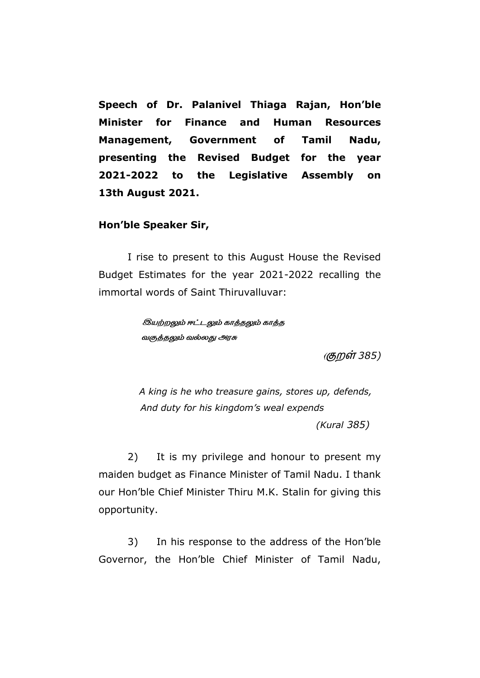**Speech of Dr. Palanivel Thiaga Rajan, Hon"ble Minister for Finance and Human Resources Management, Government of Tamil Nadu, presenting the Revised Budget for the year 2021-2022 to the Legislative Assembly on 13th August 2021.**

## **Hon"ble Speaker Sir,**

I rise to present to this August House the Revised Budget Estimates for the year 2021-2022 recalling the immortal words of Saint Thiruvalluvar:

> *இயற்றலும் ஈட்டலும் காத்தலும் காத்த வகுத்தலும் வல்லது அரசு*

> > *( 385)*

 *A king is he who treasure gains, stores up, defends, And duty for his kingdom's weal expends (Kural 385)*

2) It is my privilege and honour to present my maiden budget as Finance Minister of Tamil Nadu. I thank our Hon"ble Chief Minister Thiru M.K. Stalin for giving this opportunity.

3) In his response to the address of the Hon"ble Governor, the Hon"ble Chief Minister of Tamil Nadu,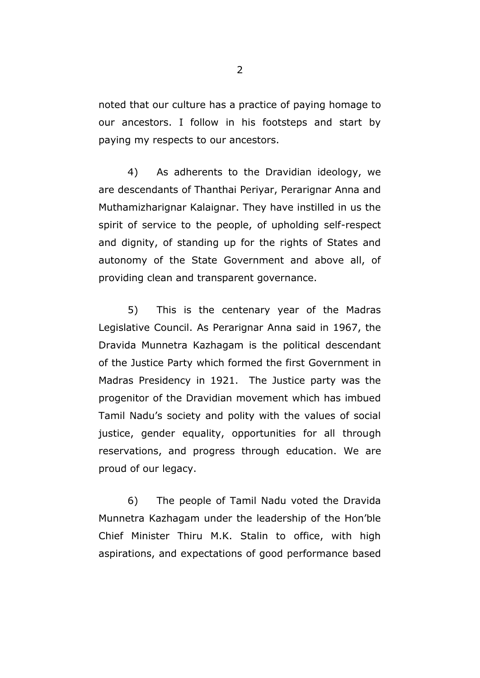noted that our culture has a practice of paying homage to our ancestors. I follow in his footsteps and start by paying my respects to our ancestors.

4) As adherents to the Dravidian ideology, we are descendants of Thanthai Periyar, Perarignar Anna and Muthamizharignar Kalaignar. They have instilled in us the spirit of service to the people, of upholding self-respect and dignity, of standing up for the rights of States and autonomy of the State Government and above all, of providing clean and transparent governance.

5) This is the centenary year of the Madras Legislative Council. As Perarignar Anna said in 1967, the Dravida Munnetra Kazhagam is the political descendant of the Justice Party which formed the first Government in Madras Presidency in 1921. The Justice party was the progenitor of the Dravidian movement which has imbued Tamil Nadu"s society and polity with the values of social justice, gender equality, opportunities for all through reservations, and progress through education. We are proud of our legacy.

6) The people of Tamil Nadu voted the Dravida Munnetra Kazhagam under the leadership of the Hon"ble Chief Minister Thiru M.K. Stalin to office, with high aspirations, and expectations of good performance based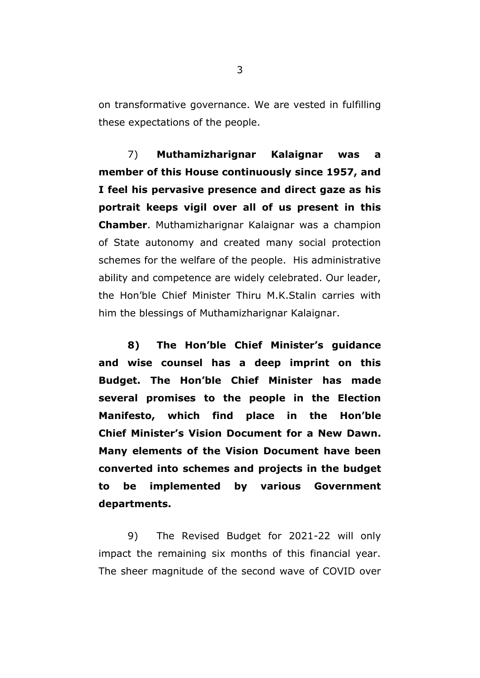on transformative governance. We are vested in fulfilling these expectations of the people.

7) **Muthamizharignar Kalaignar was a member of this House continuously since 1957, and I feel his pervasive presence and direct gaze as his portrait keeps vigil over all of us present in this Chamber**. Muthamizharignar Kalaignar was a champion of State autonomy and created many social protection schemes for the welfare of the people. His administrative ability and competence are widely celebrated. Our leader, the Hon"ble Chief Minister Thiru M.K.Stalin carries with him the blessings of Muthamizharignar Kalaignar.

**8) The Hon"ble Chief Minister"s guidance and wise counsel has a deep imprint on this Budget. The Hon"ble Chief Minister has made several promises to the people in the Election Manifesto, which find place in the Hon"ble Chief Minister"s Vision Document for a New Dawn. Many elements of the Vision Document have been converted into schemes and projects in the budget to be implemented by various Government departments.** 

9) The Revised Budget for 2021-22 will only impact the remaining six months of this financial year. The sheer magnitude of the second wave of COVID over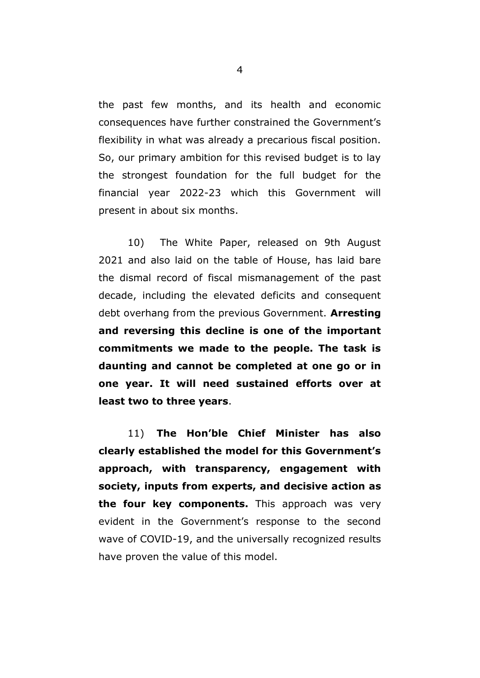the past few months, and its health and economic consequences have further constrained the Government"s flexibility in what was already a precarious fiscal position. So, our primary ambition for this revised budget is to lay the strongest foundation for the full budget for the financial year 2022-23 which this Government will present in about six months.

10) The White Paper, released on 9th August 2021 and also laid on the table of House, has laid bare the dismal record of fiscal mismanagement of the past decade, including the elevated deficits and consequent debt overhang from the previous Government. **Arresting and reversing this decline is one of the important commitments we made to the people. The task is daunting and cannot be completed at one go or in one year. It will need sustained efforts over at least two to three years**.

11) **The Hon"ble Chief Minister has also clearly established the model for this Government"s approach, with transparency, engagement with society, inputs from experts, and decisive action as the four key components.** This approach was very evident in the Government's response to the second wave of COVID-19, and the universally recognized results have proven the value of this model.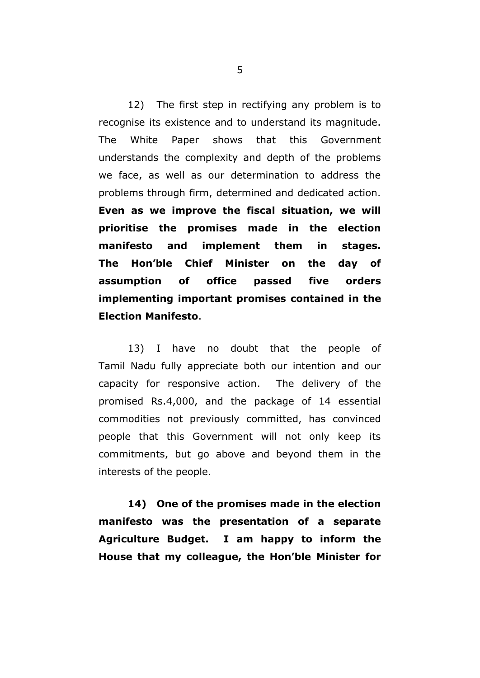12) The first step in rectifying any problem is to recognise its existence and to understand its magnitude. The White Paper shows that this Government understands the complexity and depth of the problems we face, as well as our determination to address the problems through firm, determined and dedicated action. **Even as we improve the fiscal situation, we will prioritise the promises made in the election manifesto and implement them in stages. The Hon"ble Chief Minister on the day of assumption of office passed five orders implementing important promises contained in the Election Manifesto**.

13) I have no doubt that the people of Tamil Nadu fully appreciate both our intention and our capacity for responsive action. The delivery of the promised Rs.4,000, and the package of 14 essential commodities not previously committed, has convinced people that this Government will not only keep its commitments, but go above and beyond them in the interests of the people.

**14) One of the promises made in the election manifesto was the presentation of a separate Agriculture Budget. I am happy to inform the House that my colleague, the Hon"ble Minister for** 

5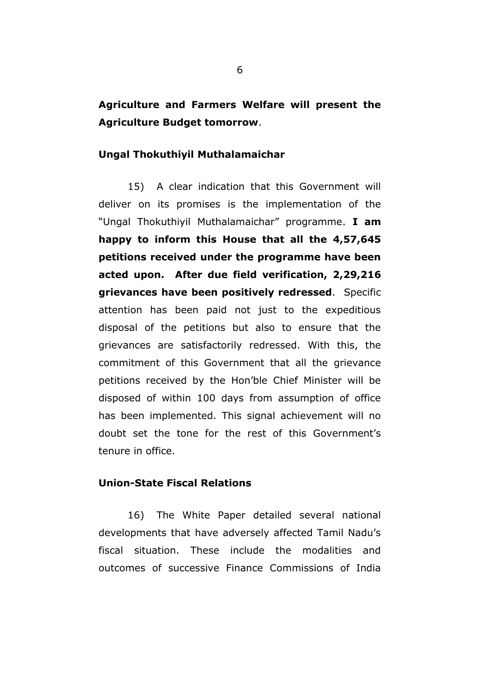**Agriculture and Farmers Welfare will present the Agriculture Budget tomorrow**.

## **Ungal Thokuthiyil Muthalamaichar**

15) A clear indication that this Government will deliver on its promises is the implementation of the "Ungal Thokuthiyil Muthalamaichar" programme. **I am happy to inform this House that all the 4,57,645 petitions received under the programme have been acted upon. After due field verification, 2,29,216 grievances have been positively redressed**. Specific attention has been paid not just to the expeditious disposal of the petitions but also to ensure that the grievances are satisfactorily redressed. With this, the commitment of this Government that all the grievance petitions received by the Hon"ble Chief Minister will be disposed of within 100 days from assumption of office has been implemented. This signal achievement will no doubt set the tone for the rest of this Government"s tenure in office.

# **Union-State Fiscal Relations**

16) The White Paper detailed several national developments that have adversely affected Tamil Nadu"s fiscal situation. These include the modalities and outcomes of successive Finance Commissions of India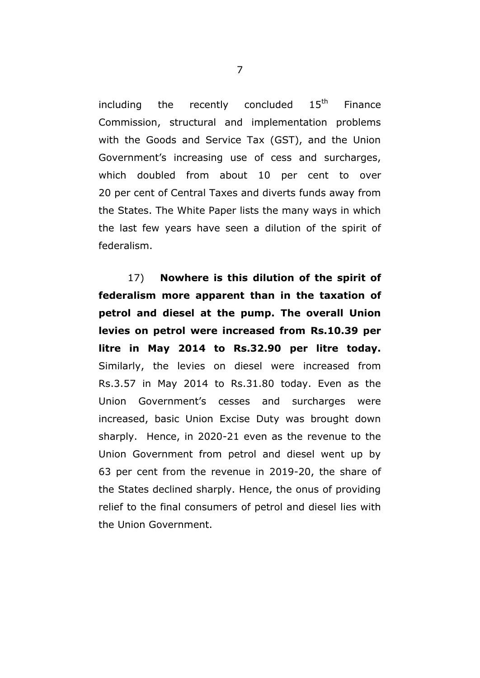including the recently concluded  $15<sup>th</sup>$  Finance Commission, structural and implementation problems with the Goods and Service Tax (GST), and the Union Government"s increasing use of cess and surcharges, which doubled from about 10 per cent to over 20 per cent of Central Taxes and diverts funds away from the States. The White Paper lists the many ways in which the last few years have seen a dilution of the spirit of federalism.

17) **Nowhere is this dilution of the spirit of federalism more apparent than in the taxation of petrol and diesel at the pump. The overall Union levies on petrol were increased from Rs.10.39 per litre in May 2014 to Rs.32.90 per litre today.** Similarly, the levies on diesel were increased from Rs.3.57 in May 2014 to Rs.31.80 today. Even as the Union Government"s cesses and surcharges were increased, basic Union Excise Duty was brought down sharply. Hence, in 2020-21 even as the revenue to the Union Government from petrol and diesel went up by 63 per cent from the revenue in 2019-20, the share of the States declined sharply. Hence, the onus of providing relief to the final consumers of petrol and diesel lies with the Union Government.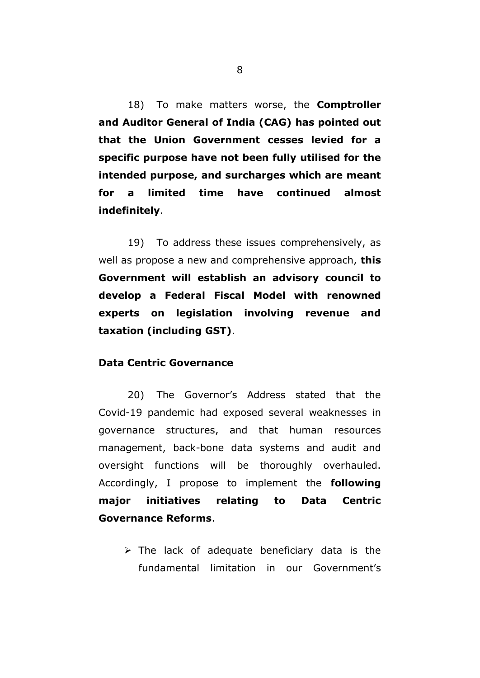18) To make matters worse, the **Comptroller and Auditor General of India (CAG) has pointed out that the Union Government cesses levied for a specific purpose have not been fully utilised for the intended purpose, and surcharges which are meant for a limited time have continued almost indefinitely**.

19) To address these issues comprehensively, as well as propose a new and comprehensive approach, **this Government will establish an advisory council to develop a Federal Fiscal Model with renowned experts on legislation involving revenue and taxation (including GST)**.

### **Data Centric Governance**

20) The Governor"s Address stated that the Covid-19 pandemic had exposed several weaknesses in governance structures, and that human resources management, back-bone data systems and audit and oversight functions will be thoroughly overhauled. Accordingly, I propose to implement the **following major initiatives relating to Data Centric Governance Reforms**.

 $\triangleright$  The lack of adequate beneficiary data is the fundamental limitation in our Government's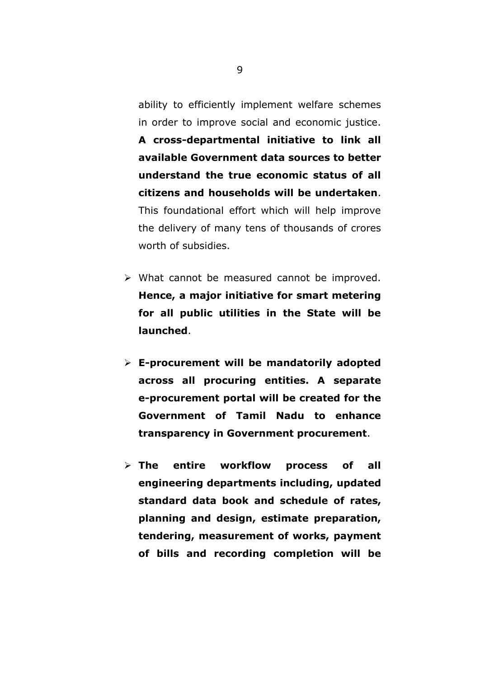ability to efficiently implement welfare schemes in order to improve social and economic justice.

**A cross-departmental initiative to link all available Government data sources to better understand the true economic status of all citizens and households will be undertaken**. This foundational effort which will help improve the delivery of many tens of thousands of crores worth of subsidies.

- $\triangleright$  What cannot be measured cannot be improved. **Hence, a major initiative for smart metering for all public utilities in the State will be launched**.
- **E-procurement will be mandatorily adopted across all procuring entities. A separate e-procurement portal will be created for the Government of Tamil Nadu to enhance transparency in Government procurement**.
- **The entire workflow process of all engineering departments including, updated standard data book and schedule of rates, planning and design, estimate preparation, tendering, measurement of works, payment of bills and recording completion will be**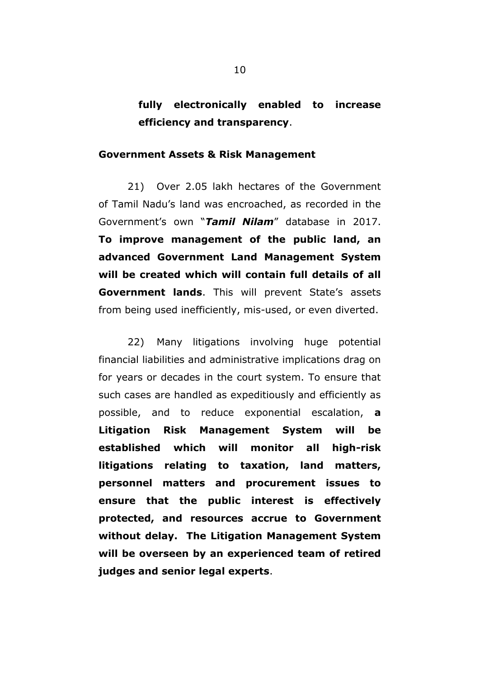# **fully electronically enabled to increase efficiency and transparency**.

#### **Government Assets & Risk Management**

21) Over 2.05 lakh hectares of the Government of Tamil Nadu"s land was encroached, as recorded in the Government"s own "*Tamil Nilam*" database in 2017. **To improve management of the public land, an advanced Government Land Management System will be created which will contain full details of all Government lands**. This will prevent State's assets from being used inefficiently, mis-used, or even diverted.

22) Many litigations involving huge potential financial liabilities and administrative implications drag on for years or decades in the court system. To ensure that such cases are handled as expeditiously and efficiently as possible, and to reduce exponential escalation, **a Litigation Risk Management System will be established which will monitor all high-risk litigations relating to taxation, land matters, personnel matters and procurement issues to ensure that the public interest is effectively protected, and resources accrue to Government without delay. The Litigation Management System will be overseen by an experienced team of retired judges and senior legal experts**.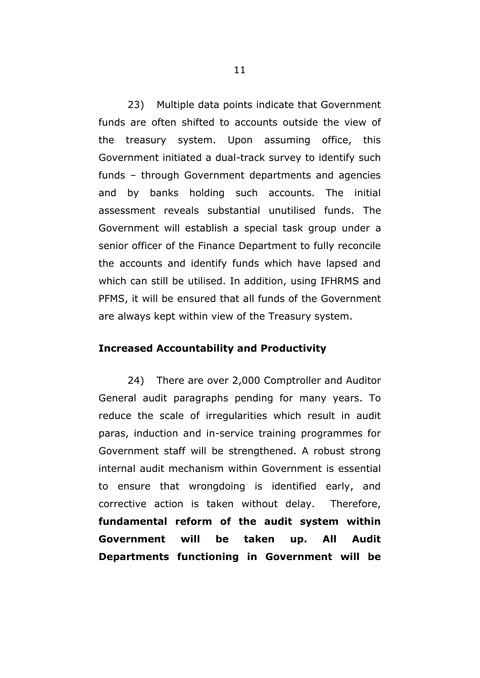23) Multiple data points indicate that Government funds are often shifted to accounts outside the view of the treasury system. Upon assuming office, this Government initiated a dual-track survey to identify such funds – through Government departments and agencies and by banks holding such accounts. The initial assessment reveals substantial unutilised funds. The Government will establish a special task group under a senior officer of the Finance Department to fully reconcile the accounts and identify funds which have lapsed and which can still be utilised. In addition, using IFHRMS and PFMS, it will be ensured that all funds of the Government are always kept within view of the Treasury system.

### **Increased Accountability and Productivity**

24) There are over 2,000 Comptroller and Auditor General audit paragraphs pending for many years. To reduce the scale of irregularities which result in audit paras, induction and in-service training programmes for Government staff will be strengthened. A robust strong internal audit mechanism within Government is essential to ensure that wrongdoing is identified early, and corrective action is taken without delay. Therefore, **fundamental reform of the audit system within Government will be taken up. All Audit Departments functioning in Government will be**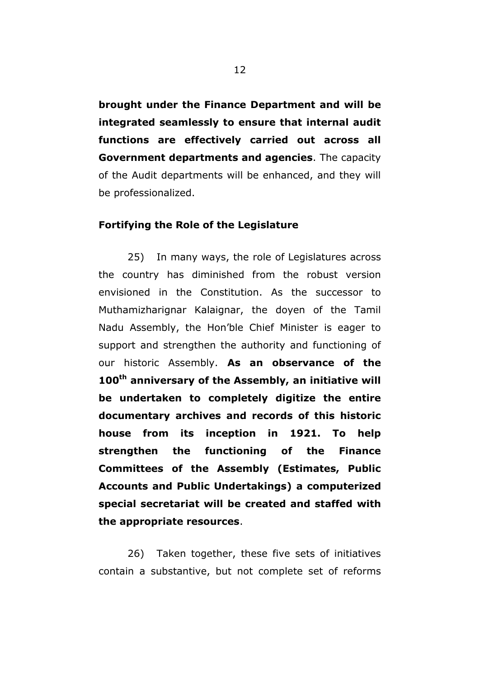**brought under the Finance Department and will be integrated seamlessly to ensure that internal audit functions are effectively carried out across all Government departments and agencies**. The capacity of the Audit departments will be enhanced, and they will be professionalized.

#### **Fortifying the Role of the Legislature**

25) In many ways, the role of Legislatures across the country has diminished from the robust version envisioned in the Constitution. As the successor to Muthamizharignar Kalaignar, the doyen of the Tamil Nadu Assembly, the Hon"ble Chief Minister is eager to support and strengthen the authority and functioning of our historic Assembly. **As an observance of the 100th anniversary of the Assembly, an initiative will be undertaken to completely digitize the entire documentary archives and records of this historic house from its inception in 1921. To help strengthen the functioning of the Finance Committees of the Assembly (Estimates, Public Accounts and Public Undertakings) a computerized special secretariat will be created and staffed with the appropriate resources**.

26) Taken together, these five sets of initiatives contain a substantive, but not complete set of reforms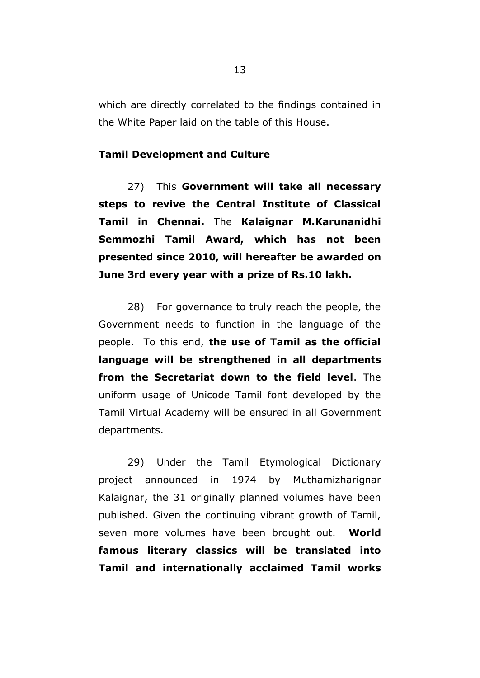which are directly correlated to the findings contained in the White Paper laid on the table of this House.

## **Tamil Development and Culture**

27) This **Government will take all necessary steps to revive the Central Institute of Classical Tamil in Chennai.** The **Kalaignar M.Karunanidhi Semmozhi Tamil Award, which has not been presented since 2010, will hereafter be awarded on June 3rd every year with a prize of Rs.10 lakh.**

28) For governance to truly reach the people, the Government needs to function in the language of the people. To this end, **the use of Tamil as the official language will be strengthened in all departments from the Secretariat down to the field level**. The uniform usage of Unicode Tamil font developed by the Tamil Virtual Academy will be ensured in all Government departments.

29) Under the Tamil Etymological Dictionary project announced in 1974 by Muthamizharignar Kalaignar, the 31 originally planned volumes have been published. Given the continuing vibrant growth of Tamil, seven more volumes have been brought out. **World famous literary classics will be translated into Tamil and internationally acclaimed Tamil works**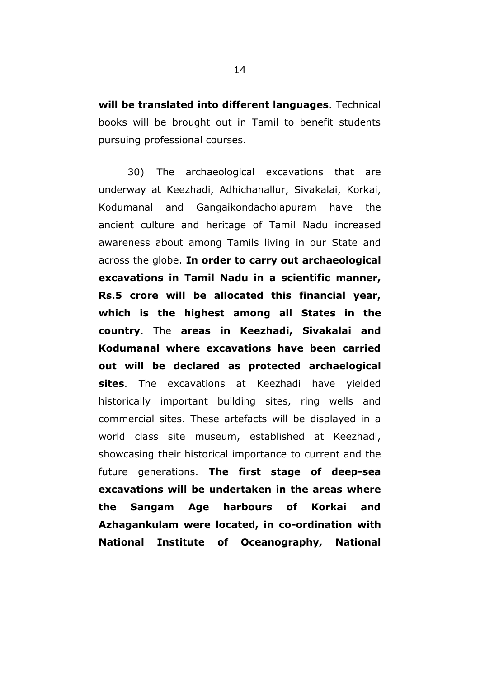**will be translated into different languages**. Technical books will be brought out in Tamil to benefit students pursuing professional courses.

30) The archaeological excavations that are underway at Keezhadi, Adhichanallur, Sivakalai, Korkai, Kodumanal and Gangaikondacholapuram have the ancient culture and heritage of Tamil Nadu increased awareness about among Tamils living in our State and across the globe. **In order to carry out archaeological excavations in Tamil Nadu in a scientific manner, Rs.5 crore will be allocated this financial year, which is the highest among all States in the country**. The **areas in Keezhadi, Sivakalai and Kodumanal where excavations have been carried out will be declared as protected archaelogical sites**. The excavations at Keezhadi have yielded historically important building sites, ring wells and commercial sites. These artefacts will be displayed in a world class site museum, established at Keezhadi, showcasing their historical importance to current and the future generations. **The first stage of deep-sea excavations will be undertaken in the areas where the Sangam Age harbours of Korkai and Azhagankulam were located, in co-ordination with National Institute of Oceanography, National**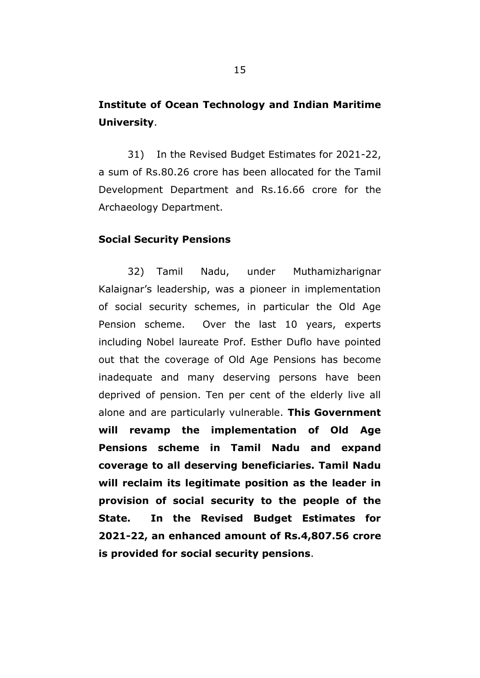# **Institute of Ocean Technology and Indian Maritime University**.

31) In the Revised Budget Estimates for 2021-22, a sum of Rs.80.26 crore has been allocated for the Tamil Development Department and Rs.16.66 crore for the Archaeology Department.

#### **Social Security Pensions**

32) Tamil Nadu, under Muthamizharignar Kalaignar"s leadership, was a pioneer in implementation of social security schemes, in particular the Old Age Pension scheme. Over the last 10 years, experts including Nobel laureate Prof. Esther Duflo have pointed out that the coverage of Old Age Pensions has become inadequate and many deserving persons have been deprived of pension. Ten per cent of the elderly live all alone and are particularly vulnerable. **This Government will revamp the implementation of Old Age Pensions scheme in Tamil Nadu and expand coverage to all deserving beneficiaries. Tamil Nadu will reclaim its legitimate position as the leader in provision of social security to the people of the State. In the Revised Budget Estimates for 2021-22, an enhanced amount of Rs.4,807.56 crore is provided for social security pensions**.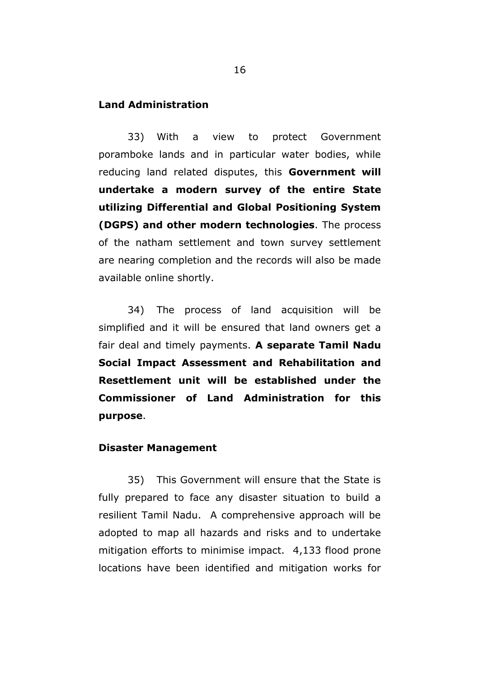## **Land Administration**

33) With a view to protect Government poramboke lands and in particular water bodies, while reducing land related disputes, this **Government will undertake a modern survey of the entire State utilizing Differential and Global Positioning System (DGPS) and other modern technologies**. The process of the natham settlement and town survey settlement are nearing completion and the records will also be made available online shortly.

34) The process of land acquisition will be simplified and it will be ensured that land owners get a fair deal and timely payments. **A separate Tamil Nadu Social Impact Assessment and Rehabilitation and Resettlement unit will be established under the Commissioner of Land Administration for this purpose**.

### **Disaster Management**

35) This Government will ensure that the State is fully prepared to face any disaster situation to build a resilient Tamil Nadu. A comprehensive approach will be adopted to map all hazards and risks and to undertake mitigation efforts to minimise impact. 4,133 flood prone locations have been identified and mitigation works for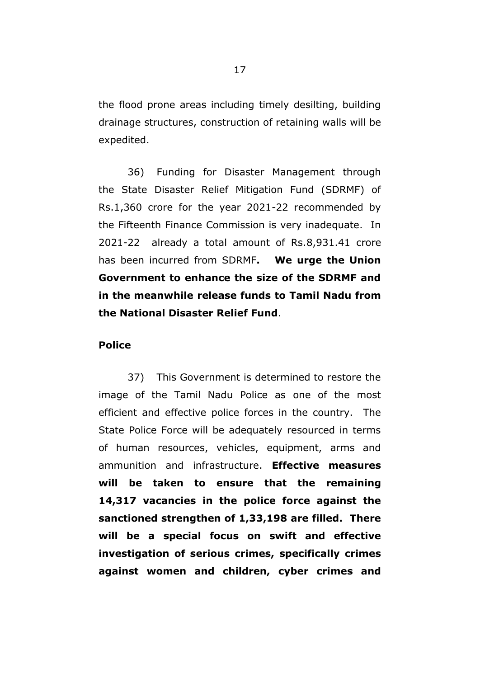the flood prone areas including timely desilting, building drainage structures, construction of retaining walls will be expedited.

36) Funding for Disaster Management through the State Disaster Relief Mitigation Fund (SDRMF) of Rs.1,360 crore for the year 2021-22 recommended by the Fifteenth Finance Commission is very inadequate. In 2021-22 already a total amount of Rs.8,931.41 crore has been incurred from SDRMF**. We urge the Union Government to enhance the size of the SDRMF and in the meanwhile release funds to Tamil Nadu from the National Disaster Relief Fund**.

## **Police**

37) This Government is determined to restore the image of the Tamil Nadu Police as one of the most efficient and effective police forces in the country. The State Police Force will be adequately resourced in terms of human resources, vehicles, equipment, arms and ammunition and infrastructure. **Effective measures will be taken to ensure that the remaining 14,317 vacancies in the police force against the sanctioned strengthen of 1,33,198 are filled. There will be a special focus on swift and effective investigation of serious crimes, specifically crimes against women and children, cyber crimes and**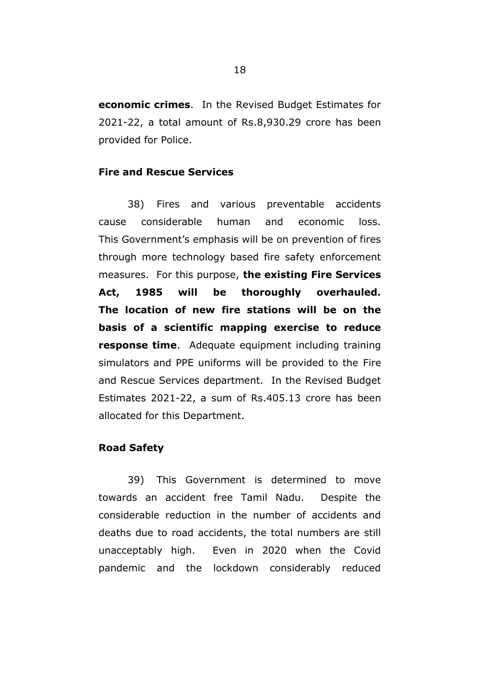**economic crimes**. In the Revised Budget Estimates for 2021-22, a total amount of Rs.8,930.29 crore has been provided for Police.

# **Fire and Rescue Services**

38) Fires and various preventable accidents cause considerable human and economic loss. This Government's emphasis will be on prevention of fires through more technology based fire safety enforcement measures. For this purpose, **the existing Fire Services Act, 1985 will be thoroughly overhauled. The location of new fire stations will be on the basis of a scientific mapping exercise to reduce response time**. Adequate equipment including training simulators and PPE uniforms will be provided to the Fire and Rescue Services department. In the Revised Budget Estimates 2021-22, a sum of Rs.405.13 crore has been allocated for this Department.

## **Road Safety**

39) This Government is determined to move towards an accident free Tamil Nadu. Despite the considerable reduction in the number of accidents and deaths due to road accidents, the total numbers are still unacceptably high. Even in 2020 when the Covid pandemic and the lockdown considerably reduced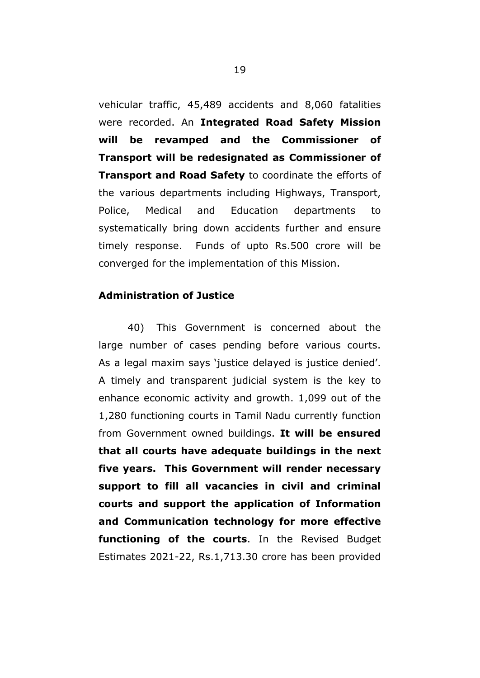vehicular traffic, 45,489 accidents and 8,060 fatalities were recorded. An **Integrated Road Safety Mission will be revamped and the Commissioner of Transport will be redesignated as Commissioner of Transport and Road Safety** to coordinate the efforts of the various departments including Highways, Transport, Police, Medical and Education departments to systematically bring down accidents further and ensure timely response. Funds of upto Rs.500 crore will be converged for the implementation of this Mission.

# **Administration of Justice**

40) This Government is concerned about the large number of cases pending before various courts. As a legal maxim says 'justice delayed is justice denied'. A timely and transparent judicial system is the key to enhance economic activity and growth. 1,099 out of the 1,280 functioning courts in Tamil Nadu currently function from Government owned buildings. **It will be ensured that all courts have adequate buildings in the next five years. This Government will render necessary support to fill all vacancies in civil and criminal courts and support the application of Information and Communication technology for more effective functioning of the courts**. In the Revised Budget Estimates 2021-22, Rs.1,713.30 crore has been provided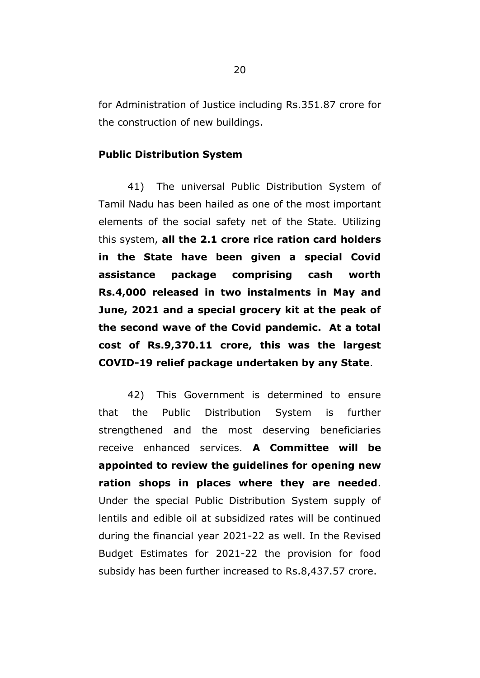for Administration of Justice including Rs.351.87 crore for the construction of new buildings.

## **Public Distribution System**

41) The universal Public Distribution System of Tamil Nadu has been hailed as one of the most important elements of the social safety net of the State. Utilizing this system, **all the 2.1 crore rice ration card holders in the State have been given a special Covid assistance package comprising cash worth Rs.4,000 released in two instalments in May and June, 2021 and a special grocery kit at the peak of the second wave of the Covid pandemic. At a total cost of Rs.9,370.11 crore, this was the largest COVID-19 relief package undertaken by any State**.

42) This Government is determined to ensure that the Public Distribution System is further strengthened and the most deserving beneficiaries receive enhanced services. **A Committee will be appointed to review the guidelines for opening new ration shops in places where they are needed**. Under the special Public Distribution System supply of lentils and edible oil at subsidized rates will be continued during the financial year 2021-22 as well. In the Revised Budget Estimates for 2021-22 the provision for food subsidy has been further increased to Rs.8,437.57 crore.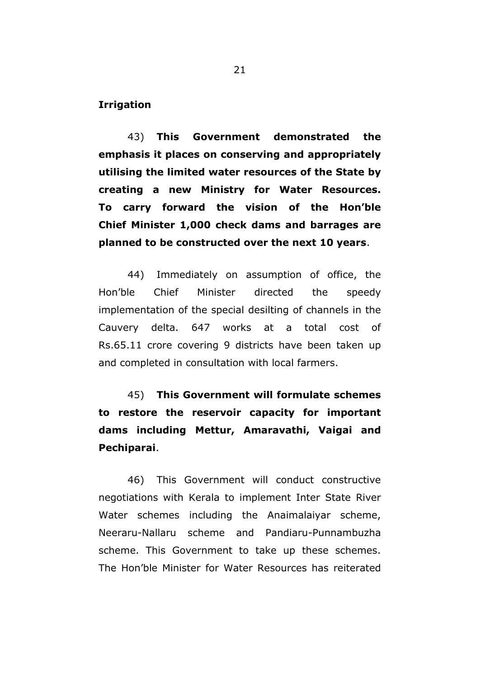**Irrigation**

43) **This Government demonstrated the emphasis it places on conserving and appropriately utilising the limited water resources of the State by creating a new Ministry for Water Resources. To carry forward the vision of the Hon"ble Chief Minister 1,000 check dams and barrages are planned to be constructed over the next 10 years**.

44) Immediately on assumption of office, the Hon"ble Chief Minister directed the speedy implementation of the special desilting of channels in the Cauvery delta. 647 works at a total cost of Rs.65.11 crore covering 9 districts have been taken up and completed in consultation with local farmers.

45) **This Government will formulate schemes to restore the reservoir capacity for important dams including Mettur, Amaravathi, Vaigai and Pechiparai**.

46) This Government will conduct constructive negotiations with Kerala to implement Inter State River Water schemes including the Anaimalaiyar scheme, Neeraru-Nallaru scheme and Pandiaru-Punnambuzha scheme. This Government to take up these schemes. The Hon"ble Minister for Water Resources has reiterated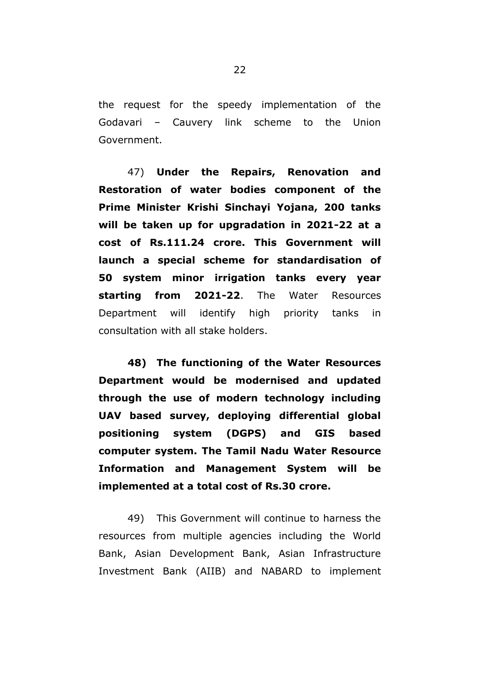the request for the speedy implementation of the Godavari – Cauvery link scheme to the Union Government.

47) **Under the Repairs, Renovation and Restoration of water bodies component of the Prime Minister Krishi Sinchayi Yojana, 200 tanks will be taken up for upgradation in 2021-22 at a cost of Rs.111.24 crore. This Government will launch a special scheme for standardisation of 50 system minor irrigation tanks every year starting from 2021-22**. The Water Resources Department will identify high priority tanks in consultation with all stake holders.

**48) The functioning of the Water Resources Department would be modernised and updated through the use of modern technology including UAV based survey, deploying differential global positioning system (DGPS) and GIS based computer system. The Tamil Nadu Water Resource Information and Management System will be implemented at a total cost of Rs.30 crore.** 

49) This Government will continue to harness the resources from multiple agencies including the World Bank, Asian Development Bank, Asian Infrastructure Investment Bank (AIIB) and NABARD to implement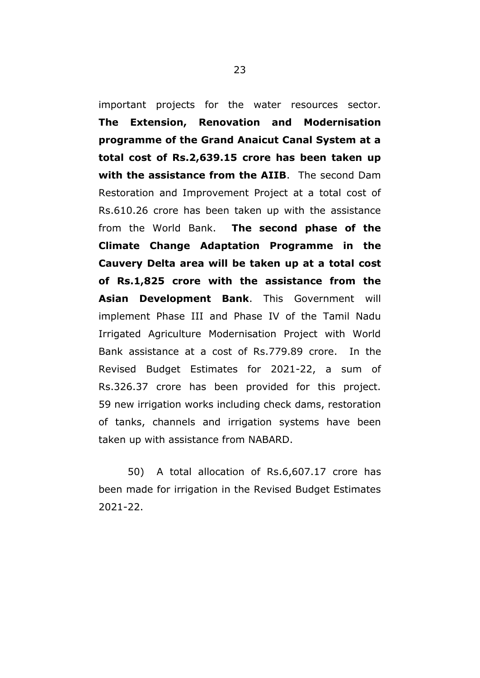important projects for the water resources sector. **The Extension, Renovation and Modernisation programme of the Grand Anaicut Canal System at a total cost of Rs.2,639.15 crore has been taken up with the assistance from the AIIB**. The second Dam Restoration and Improvement Project at a total cost of Rs.610.26 crore has been taken up with the assistance from the World Bank. **The second phase of the Climate Change Adaptation Programme in the Cauvery Delta area will be taken up at a total cost of Rs.1,825 crore with the assistance from the Asian Development Bank**. This Government will implement Phase III and Phase IV of the Tamil Nadu Irrigated Agriculture Modernisation Project with World Bank assistance at a cost of Rs.779.89 crore. In the Revised Budget Estimates for 2021-22, a sum of Rs.326.37 crore has been provided for this project. 59 new irrigation works including check dams, restoration of tanks, channels and irrigation systems have been taken up with assistance from NABARD.

50) A total allocation of Rs.6,607.17 crore has been made for irrigation in the Revised Budget Estimates 2021-22.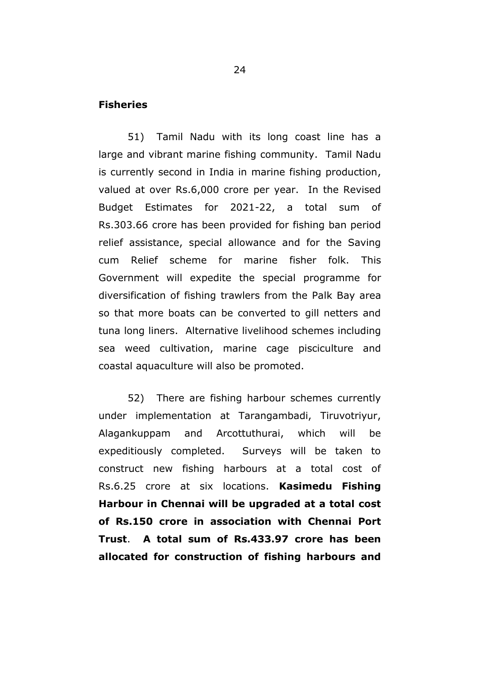## **Fisheries**

51) Tamil Nadu with its long coast line has a large and vibrant marine fishing community. Tamil Nadu is currently second in India in marine fishing production, valued at over Rs.6,000 crore per year. In the Revised Budget Estimates for 2021-22, a total sum of Rs.303.66 crore has been provided for fishing ban period relief assistance, special allowance and for the Saving cum Relief scheme for marine fisher folk. This Government will expedite the special programme for diversification of fishing trawlers from the Palk Bay area so that more boats can be converted to gill netters and tuna long liners. Alternative livelihood schemes including sea weed cultivation, marine cage pisciculture and coastal aquaculture will also be promoted.

52) There are fishing harbour schemes currently under implementation at Tarangambadi, Tiruvotriyur, Alagankuppam and Arcottuthurai, which will be expeditiously completed. Surveys will be taken to construct new fishing harbours at a total cost of Rs.6.25 crore at six locations. **Kasimedu Fishing Harbour in Chennai will be upgraded at a total cost of Rs.150 crore in association with Chennai Port Trust**. **A total sum of Rs.433.97 crore has been allocated for construction of fishing harbours and**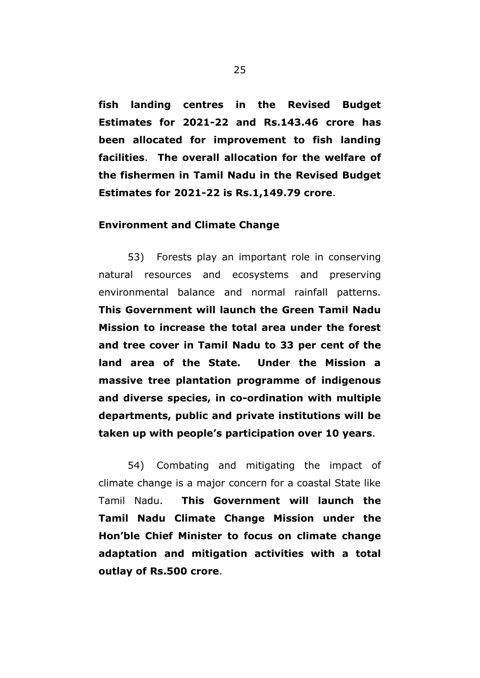**fish landing centres in the Revised Budget Estimates for 2021-22 and Rs.143.46 crore has been allocated for improvement to fish landing facilities**. **The overall allocation for the welfare of the fishermen in Tamil Nadu in the Revised Budget Estimates for 2021-22 is Rs.1,149.79 crore**.

### **Environment and Climate Change**

53) Forests play an important role in conserving natural resources and ecosystems and preserving environmental balance and normal rainfall patterns. **This Government will launch the Green Tamil Nadu Mission to increase the total area under the forest and tree cover in Tamil Nadu to 33 per cent of the land area of the State. Under the Mission a massive tree plantation programme of indigenous and diverse species, in co-ordination with multiple departments, public and private institutions will be taken up with people"s participation over 10 years**.

54) Combating and mitigating the impact of climate change is a major concern for a coastal State like Tamil Nadu. **This Government will launch the Tamil Nadu Climate Change Mission under the Hon"ble Chief Minister to focus on climate change adaptation and mitigation activities with a total outlay of Rs.500 crore**.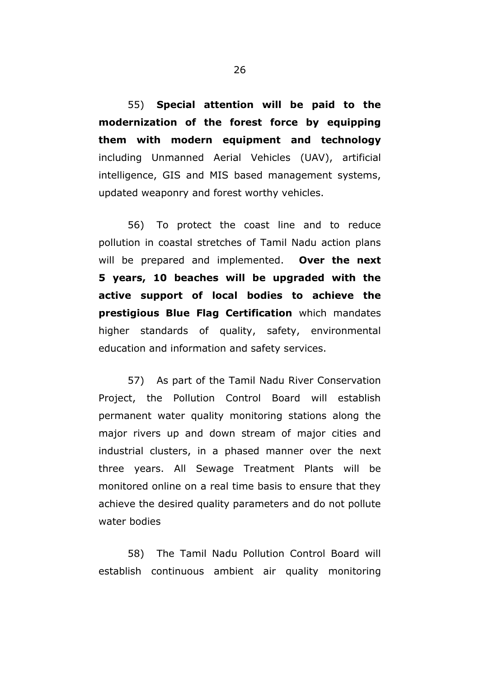55) **Special attention will be paid to the modernization of the forest force by equipping them with modern equipment and technology** including Unmanned Aerial Vehicles (UAV), artificial intelligence, GIS and MIS based management systems, updated weaponry and forest worthy vehicles.

56) To protect the coast line and to reduce pollution in coastal stretches of Tamil Nadu action plans will be prepared and implemented. **Over the next 5 years, 10 beaches will be upgraded with the active support of local bodies to achieve the prestigious Blue Flag Certification** which mandates higher standards of quality, safety, environmental education and information and safety services.

57) As part of the Tamil Nadu River Conservation Project, the Pollution Control Board will establish permanent water quality monitoring stations along the major rivers up and down stream of major cities and industrial clusters, in a phased manner over the next three years. All Sewage Treatment Plants will be monitored online on a real time basis to ensure that they achieve the desired quality parameters and do not pollute water bodies

58) The Tamil Nadu Pollution Control Board will establish continuous ambient air quality monitoring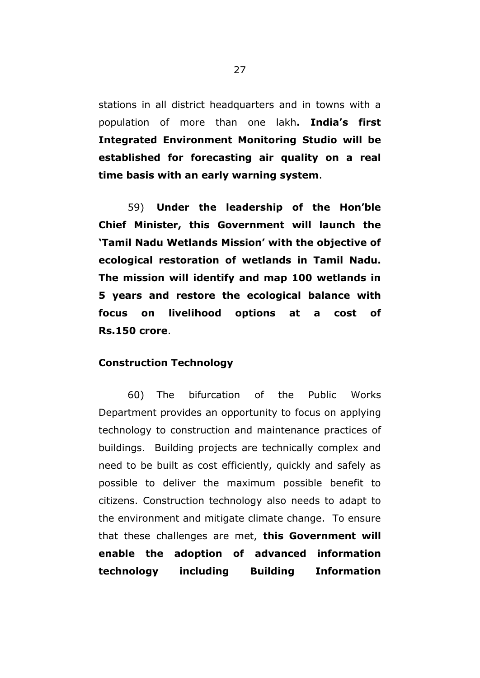stations in all district headquarters and in towns with a population of more than one lakh**. India"s first Integrated Environment Monitoring Studio will be established for forecasting air quality on a real time basis with an early warning system**.

59) **Under the leadership of the Hon"ble Chief Minister, this Government will launch the "Tamil Nadu Wetlands Mission" with the objective of ecological restoration of wetlands in Tamil Nadu. The mission will identify and map 100 wetlands in 5 years and restore the ecological balance with focus on livelihood options at a cost of Rs.150 crore**.

### **Construction Technology**

60) The bifurcation of the Public Works Department provides an opportunity to focus on applying technology to construction and maintenance practices of buildings. Building projects are technically complex and need to be built as cost efficiently, quickly and safely as possible to deliver the maximum possible benefit to citizens. Construction technology also needs to adapt to the environment and mitigate climate change. To ensure that these challenges are met, **this Government will enable the adoption of advanced information technology including Building Information**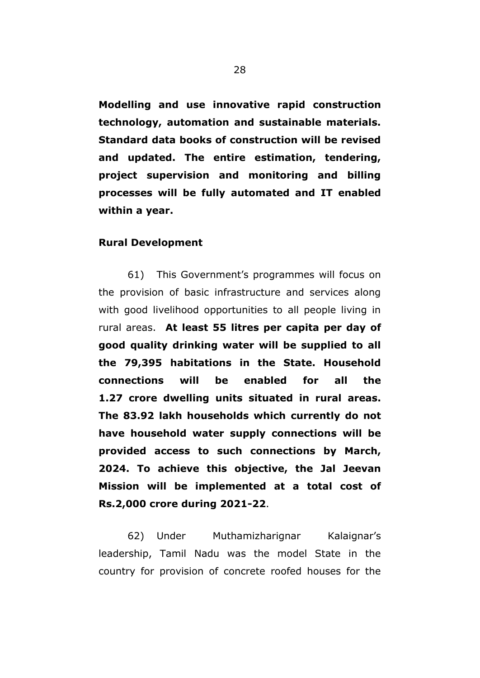**Modelling and use innovative rapid construction technology, automation and sustainable materials. Standard data books of construction will be revised and updated. The entire estimation, tendering, project supervision and monitoring and billing processes will be fully automated and IT enabled within a year.** 

#### **Rural Development**

61) This Government"s programmes will focus on the provision of basic infrastructure and services along with good livelihood opportunities to all people living in rural areas. **At least 55 litres per capita per day of good quality drinking water will be supplied to all the 79,395 habitations in the State. Household connections will be enabled for all the 1.27 crore dwelling units situated in rural areas. The 83.92 lakh households which currently do not have household water supply connections will be provided access to such connections by March, 2024. To achieve this objective, the Jal Jeevan Mission will be implemented at a total cost of Rs.2,000 crore during 2021-22**.

62) Under Muthamizharignar Kalaignar"s leadership, Tamil Nadu was the model State in the country for provision of concrete roofed houses for the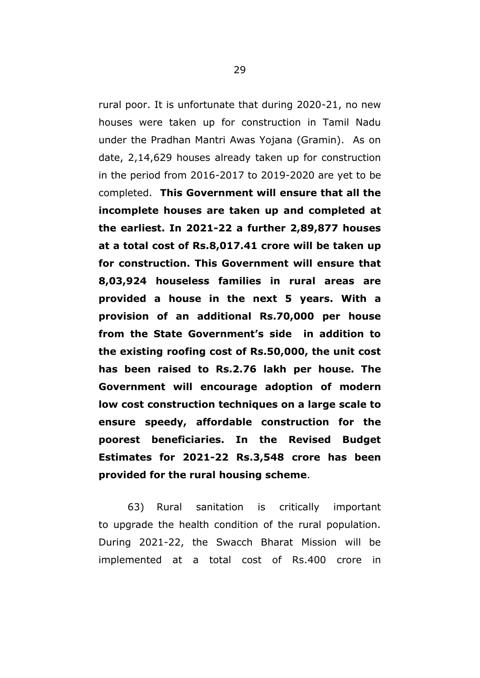rural poor. It is unfortunate that during 2020-21, no new houses were taken up for construction in Tamil Nadu under the Pradhan Mantri Awas Yojana (Gramin). As on date, 2,14,629 houses already taken up for construction in the period from 2016-2017 to 2019-2020 are yet to be completed. **This Government will ensure that all the incomplete houses are taken up and completed at the earliest. In 2021-22 a further 2,89,877 houses at a total cost of Rs.8,017.41 crore will be taken up for construction. This Government will ensure that 8,03,924 houseless families in rural areas are provided a house in the next 5 years. With a provision of an additional Rs.70,000 per house from the State Government"s side in addition to the existing roofing cost of Rs.50,000, the unit cost has been raised to Rs.2.76 lakh per house. The Government will encourage adoption of modern low cost construction techniques on a large scale to ensure speedy, affordable construction for the poorest beneficiaries. In the Revised Budget Estimates for 2021-22 Rs.3,548 crore has been provided for the rural housing scheme**.

63) Rural sanitation is critically important to upgrade the health condition of the rural population. During 2021-22, the Swacch Bharat Mission will be implemented at a total cost of Rs.400 crore in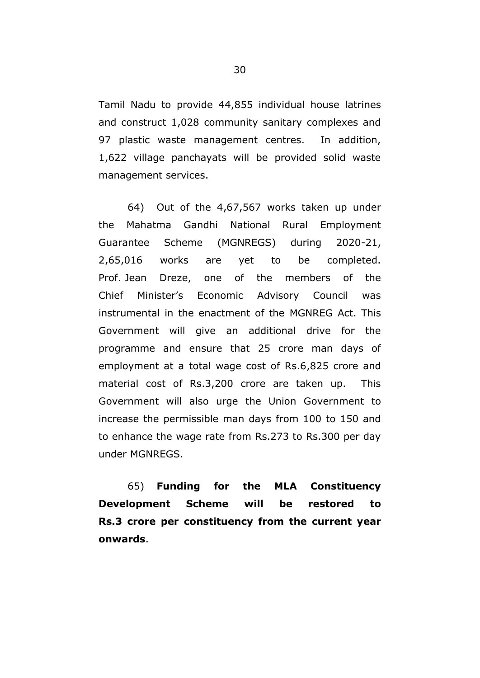Tamil Nadu to provide 44,855 individual house latrines and construct 1,028 community sanitary complexes and 97 plastic waste management centres. In addition, 1,622 village panchayats will be provided solid waste management services.

64) Out of the 4,67,567 works taken up under the Mahatma Gandhi National Rural Employment Guarantee Scheme (MGNREGS) during 2020-21, 2,65,016 works are yet to be completed. Prof. Jean Dreze, one of the members of the Chief Minister"s Economic Advisory Council was instrumental in the enactment of the MGNREG Act. This Government will give an additional drive for the programme and ensure that 25 crore man days of employment at a total wage cost of Rs.6,825 crore and material cost of Rs.3,200 crore are taken up. This Government will also urge the Union Government to increase the permissible man days from 100 to 150 and to enhance the wage rate from Rs.273 to Rs.300 per day under MGNREGS.

65) **Funding for the MLA Constituency Development Scheme will be restored to Rs.3 crore per constituency from the current year onwards**.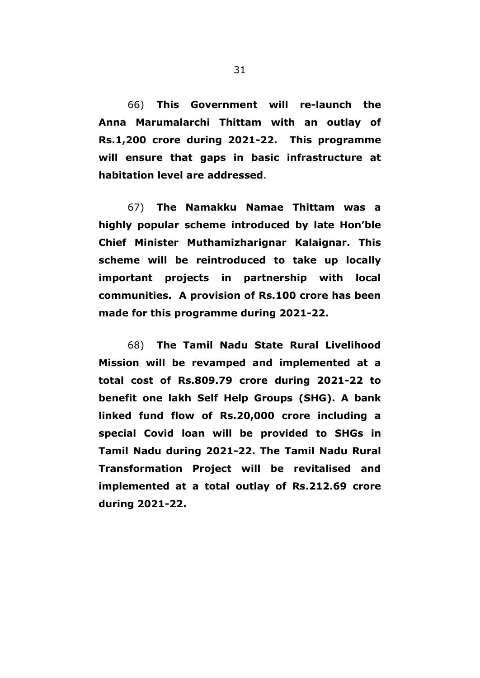66) **This Government will re-launch the Anna Marumalarchi Thittam with an outlay of Rs.1,200 crore during 2021-22. This programme will ensure that gaps in basic infrastructure at habitation level are addressed**.

67) **The Namakku Namae Thittam was a highly popular scheme introduced by late Hon"ble Chief Minister Muthamizharignar Kalaignar. This scheme will be reintroduced to take up locally important projects in partnership with local communities. A provision of Rs.100 crore has been made for this programme during 2021-22.**

68) **The Tamil Nadu State Rural Livelihood Mission will be revamped and implemented at a total cost of Rs.809.79 crore during 2021-22 to benefit one lakh Self Help Groups (SHG). A bank linked fund flow of Rs.20,000 crore including a special Covid loan will be provided to SHGs in Tamil Nadu during 2021-22. The Tamil Nadu Rural Transformation Project will be revitalised and implemented at a total outlay of Rs.212.69 crore during 2021-22.**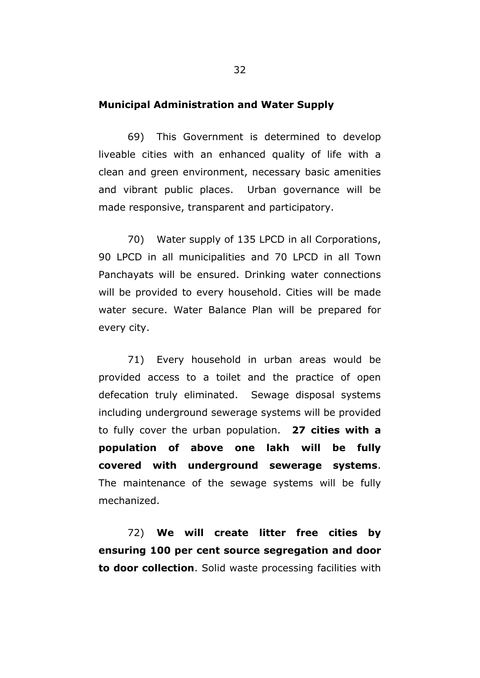### **Municipal Administration and Water Supply**

69) This Government is determined to develop liveable cities with an enhanced quality of life with a clean and green environment, necessary basic amenities and vibrant public places. Urban governance will be made responsive, transparent and participatory.

70) Water supply of 135 LPCD in all Corporations, 90 LPCD in all municipalities and 70 LPCD in all Town Panchayats will be ensured. Drinking water connections will be provided to every household. Cities will be made water secure. Water Balance Plan will be prepared for every city.

71) Every household in urban areas would be provided access to a toilet and the practice of open defecation truly eliminated. Sewage disposal systems including underground sewerage systems will be provided to fully cover the urban population. **27 cities with a population of above one lakh will be fully covered with underground sewerage systems**. The maintenance of the sewage systems will be fully mechanized.

72) **We will create litter free cities by ensuring 100 per cent source segregation and door to door collection**. Solid waste processing facilities with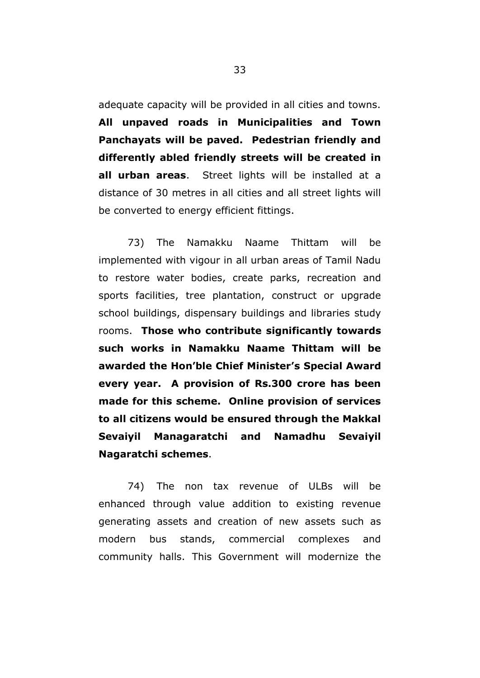adequate capacity will be provided in all cities and towns. **All unpaved roads in Municipalities and Town Panchayats will be paved. Pedestrian friendly and differently abled friendly streets will be created in all urban areas**. Street lights will be installed at a distance of 30 metres in all cities and all street lights will be converted to energy efficient fittings.

73) The Namakku Naame Thittam will be implemented with vigour in all urban areas of Tamil Nadu to restore water bodies, create parks, recreation and sports facilities, tree plantation, construct or upgrade school buildings, dispensary buildings and libraries study rooms. **Those who contribute significantly towards such works in Namakku Naame Thittam will be awarded the Hon"ble Chief Minister"s Special Award every year. A provision of Rs.300 crore has been made for this scheme. Online provision of services to all citizens would be ensured through the Makkal Sevaiyil Managaratchi and Namadhu Sevaiyil Nagaratchi schemes**.

74) The non tax revenue of ULBs will be enhanced through value addition to existing revenue generating assets and creation of new assets such as modern bus stands, commercial complexes and community halls. This Government will modernize the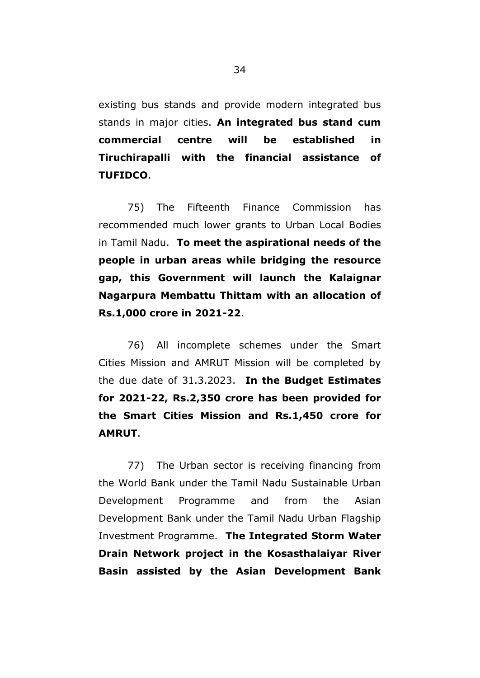existing bus stands and provide modern integrated bus stands in major cities. **An integrated bus stand cum commercial centre will be established in Tiruchirapalli with the financial assistance of TUFIDCO**.

75) The Fifteenth Finance Commission has recommended much lower grants to Urban Local Bodies in Tamil Nadu. **To meet the aspirational needs of the people in urban areas while bridging the resource gap, this Government will launch the Kalaignar Nagarpura Membattu Thittam with an allocation of Rs.1,000 crore in 2021-22**.

76) All incomplete schemes under the Smart Cities Mission and AMRUT Mission will be completed by the due date of 31.3.2023. **In the Budget Estimates for 2021-22, Rs.2,350 crore has been provided for the Smart Cities Mission and Rs.1,450 crore for AMRUT**.

77) The Urban sector is receiving financing from the World Bank under the Tamil Nadu Sustainable Urban Development Programme and from the Asian Development Bank under the Tamil Nadu Urban Flagship Investment Programme. **The Integrated Storm Water Drain Network project in the Kosasthalaiyar River Basin assisted by the Asian Development Bank**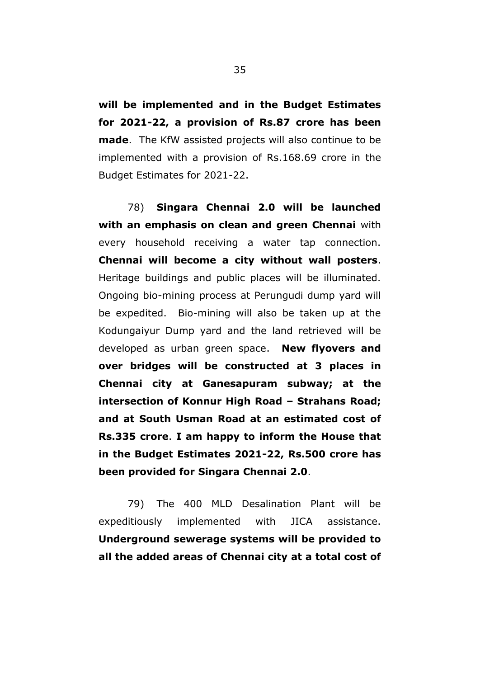**will be implemented and in the Budget Estimates for 2021-22, a provision of Rs.87 crore has been made**. The KfW assisted projects will also continue to be implemented with a provision of Rs.168.69 crore in the Budget Estimates for 2021-22.

78) **Singara Chennai 2.0 will be launched with an emphasis on clean and green Chennai** with every household receiving a water tap connection. **Chennai will become a city without wall posters**. Heritage buildings and public places will be illuminated. Ongoing bio-mining process at Perungudi dump yard will be expedited. Bio-mining will also be taken up at the Kodungaiyur Dump yard and the land retrieved will be developed as urban green space. **New flyovers and over bridges will be constructed at 3 places in Chennai city at Ganesapuram subway; at the intersection of Konnur High Road – Strahans Road; and at South Usman Road at an estimated cost of Rs.335 crore**. **I am happy to inform the House that in the Budget Estimates 2021-22, Rs.500 crore has been provided for Singara Chennai 2.0**.

79) The 400 MLD Desalination Plant will be expeditiously implemented with JICA assistance. **Underground sewerage systems will be provided to all the added areas of Chennai city at a total cost of**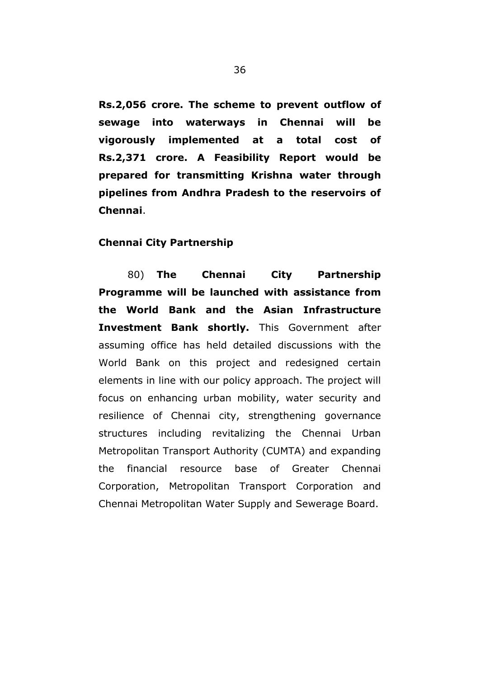**Rs.2,056 crore. The scheme to prevent outflow of sewage into waterways in Chennai will be vigorously implemented at a total cost of Rs.2,371 crore. A Feasibility Report would be prepared for transmitting Krishna water through pipelines from Andhra Pradesh to the reservoirs of Chennai**.

## **Chennai City Partnership**

80) **The Chennai City Partnership Programme will be launched with assistance from the World Bank and the Asian Infrastructure Investment Bank shortly.** This Government after assuming office has held detailed discussions with the World Bank on this project and redesigned certain elements in line with our policy approach. The project will focus on enhancing urban mobility, water security and resilience of Chennai city, strengthening governance structures including revitalizing the Chennai Urban Metropolitan Transport Authority (CUMTA) and expanding the financial resource base of Greater Chennai Corporation, Metropolitan Transport Corporation and Chennai Metropolitan Water Supply and Sewerage Board.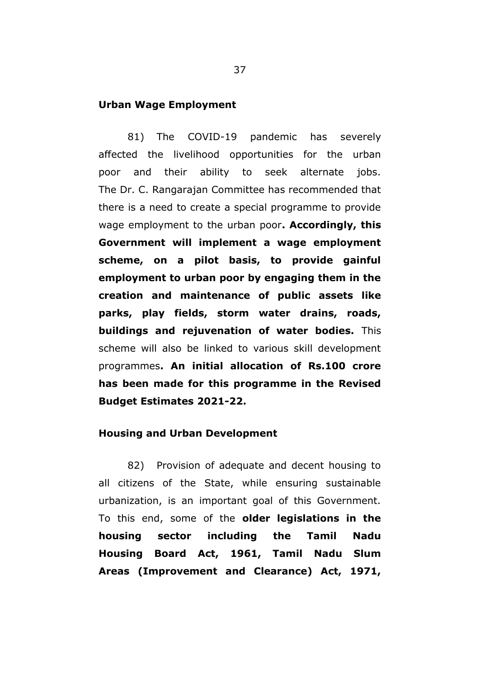#### **Urban Wage Employment**

81) The COVID-19 pandemic has severely affected the livelihood opportunities for the urban poor and their ability to seek alternate jobs. The Dr. C. Rangarajan Committee has recommended that there is a need to create a special programme to provide wage employment to the urban poor**. Accordingly, this Government will implement a wage employment scheme, on a pilot basis, to provide gainful employment to urban poor by engaging them in the creation and maintenance of public assets like parks, play fields, storm water drains, roads, buildings and rejuvenation of water bodies.** This scheme will also be linked to various skill development programmes**. An initial allocation of Rs.100 crore has been made for this programme in the Revised Budget Estimates 2021-22.** 

#### **Housing and Urban Development**

82) Provision of adequate and decent housing to all citizens of the State, while ensuring sustainable urbanization, is an important goal of this Government. To this end, some of the **older legislations in the housing sector including the Tamil Nadu Housing Board Act, 1961, Tamil Nadu Slum Areas (Improvement and Clearance) Act, 1971,**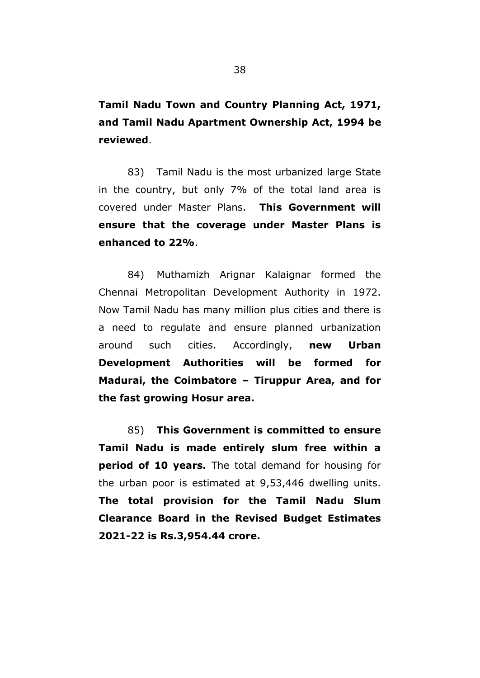**Tamil Nadu Town and Country Planning Act, 1971, and Tamil Nadu Apartment Ownership Act, 1994 be reviewed**.

83) Tamil Nadu is the most urbanized large State in the country, but only 7% of the total land area is covered under Master Plans. **This Government will ensure that the coverage under Master Plans is enhanced to 22%**.

84) Muthamizh Arignar Kalaignar formed the Chennai Metropolitan Development Authority in 1972. Now Tamil Nadu has many million plus cities and there is a need to regulate and ensure planned urbanization around such cities. Accordingly, **new Urban Development Authorities will be formed for Madurai, the Coimbatore – Tiruppur Area, and for the fast growing Hosur area.** 

85) **This Government is committed to ensure Tamil Nadu is made entirely slum free within a period of 10 years.** The total demand for housing for the urban poor is estimated at 9,53,446 dwelling units. **The total provision for the Tamil Nadu Slum Clearance Board in the Revised Budget Estimates 2021-22 is Rs.3,954.44 crore.**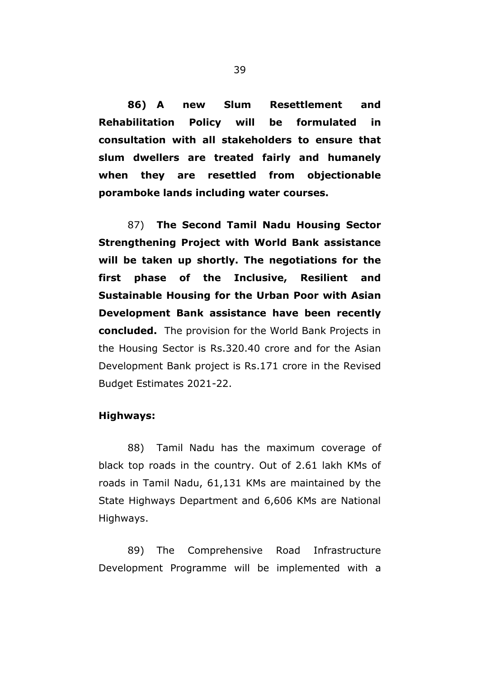**86) A new Slum Resettlement and Rehabilitation Policy will be formulated in consultation with all stakeholders to ensure that slum dwellers are treated fairly and humanely when they are resettled from objectionable poramboke lands including water courses.** 

87) **The Second Tamil Nadu Housing Sector Strengthening Project with World Bank assistance will be taken up shortly. The negotiations for the first phase of the Inclusive, Resilient and Sustainable Housing for the Urban Poor with Asian Development Bank assistance have been recently concluded.** The provision for the World Bank Projects in the Housing Sector is Rs.320.40 crore and for the Asian Development Bank project is Rs.171 crore in the Revised Budget Estimates 2021-22.

#### **Highways:**

88) Tamil Nadu has the maximum coverage of black top roads in the country. Out of 2.61 lakh KMs of roads in Tamil Nadu, 61,131 KMs are maintained by the State Highways Department and 6,606 KMs are National Highways.

89) The Comprehensive Road Infrastructure Development Programme will be implemented with a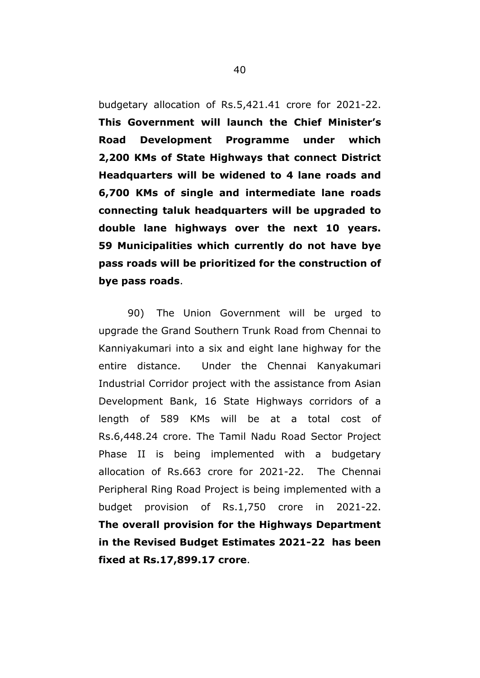budgetary allocation of Rs.5,421.41 crore for 2021-22. **This Government will launch the Chief Minister"s Road Development Programme under which 2,200 KMs of State Highways that connect District Headquarters will be widened to 4 lane roads and 6,700 KMs of single and intermediate lane roads connecting taluk headquarters will be upgraded to double lane highways over the next 10 years. 59 Municipalities which currently do not have bye pass roads will be prioritized for the construction of bye pass roads**.

90) The Union Government will be urged to upgrade the Grand Southern Trunk Road from Chennai to Kanniyakumari into a six and eight lane highway for the entire distance. Under the Chennai Kanyakumari Industrial Corridor project with the assistance from Asian Development Bank, 16 State Highways corridors of a length of 589 KMs will be at a total cost of Rs.6,448.24 crore. The Tamil Nadu Road Sector Project Phase II is being implemented with a budgetary allocation of Rs.663 crore for 2021-22. The Chennai Peripheral Ring Road Project is being implemented with a budget provision of Rs.1,750 crore in 2021-22. **The overall provision for the Highways Department in the Revised Budget Estimates 2021-22 has been fixed at Rs.17,899.17 crore**.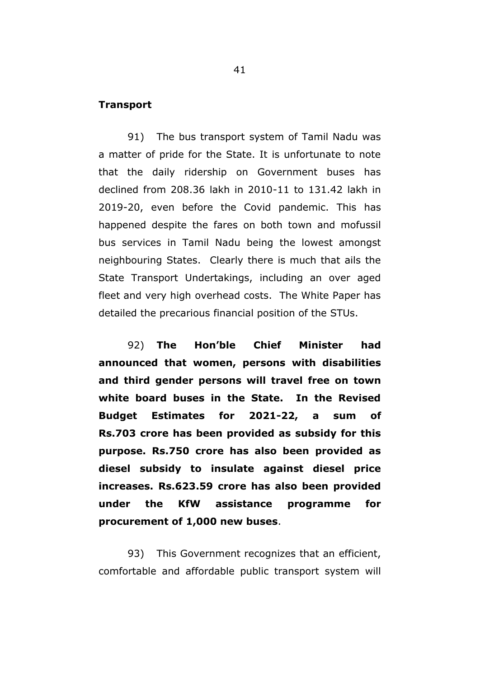## **Transport**

91) The bus transport system of Tamil Nadu was a matter of pride for the State. It is unfortunate to note that the daily ridership on Government buses has declined from 208.36 lakh in 2010-11 to 131.42 lakh in 2019-20, even before the Covid pandemic. This has happened despite the fares on both town and mofussil bus services in Tamil Nadu being the lowest amongst neighbouring States. Clearly there is much that ails the State Transport Undertakings, including an over aged fleet and very high overhead costs. The White Paper has detailed the precarious financial position of the STUs.

92) **The Hon"ble Chief Minister had announced that women, persons with disabilities and third gender persons will travel free on town white board buses in the State. In the Revised Budget Estimates for 2021-22, a sum of Rs.703 crore has been provided as subsidy for this purpose. Rs.750 crore has also been provided as diesel subsidy to insulate against diesel price increases. Rs.623.59 crore has also been provided under the KfW assistance programme for procurement of 1,000 new buses**.

93) This Government recognizes that an efficient, comfortable and affordable public transport system will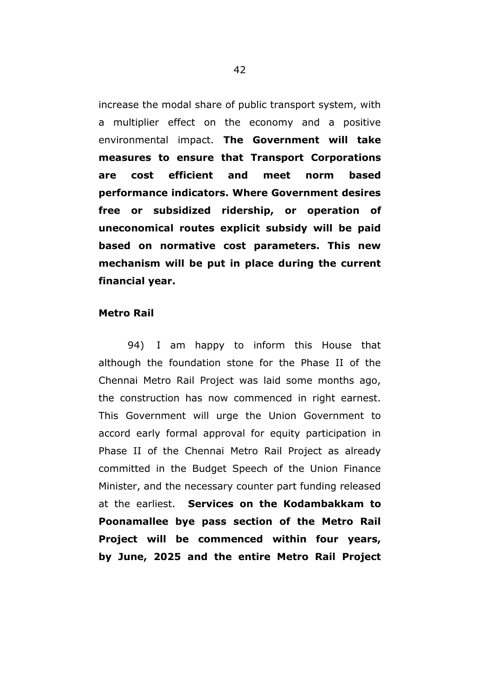increase the modal share of public transport system, with a multiplier effect on the economy and a positive environmental impact. **The Government will take measures to ensure that Transport Corporations are cost efficient and meet norm based performance indicators. Where Government desires free or subsidized ridership, or operation of uneconomical routes explicit subsidy will be paid based on normative cost parameters. This new mechanism will be put in place during the current financial year.**

## **Metro Rail**

94) I am happy to inform this House that although the foundation stone for the Phase II of the Chennai Metro Rail Project was laid some months ago, the construction has now commenced in right earnest. This Government will urge the Union Government to accord early formal approval for equity participation in Phase II of the Chennai Metro Rail Project as already committed in the Budget Speech of the Union Finance Minister, and the necessary counter part funding released at the earliest. **Services on the Kodambakkam to Poonamallee bye pass section of the Metro Rail Project will be commenced within four years, by June, 2025 and the entire Metro Rail Project**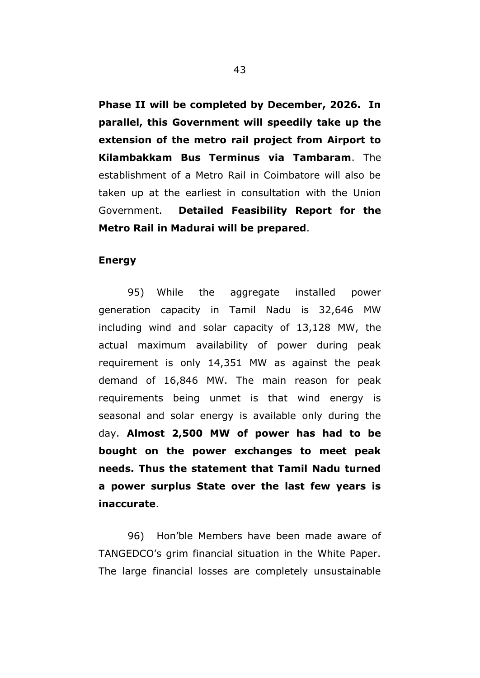**Phase II will be completed by December, 2026. In parallel, this Government will speedily take up the extension of the metro rail project from Airport to Kilambakkam Bus Terminus via Tambaram**. The establishment of a Metro Rail in Coimbatore will also be taken up at the earliest in consultation with the Union Government. **Detailed Feasibility Report for the Metro Rail in Madurai will be prepared**.

## **Energy**

95) While the aggregate installed power generation capacity in Tamil Nadu is 32,646 MW including wind and solar capacity of 13,128 MW, the actual maximum availability of power during peak requirement is only 14,351 MW as against the peak demand of 16,846 MW. The main reason for peak requirements being unmet is that wind energy is seasonal and solar energy is available only during the day. **Almost 2,500 MW of power has had to be bought on the power exchanges to meet peak needs. Thus the statement that Tamil Nadu turned a power surplus State over the last few years is inaccurate**.

96) Hon"ble Members have been made aware of TANGEDCO"s grim financial situation in the White Paper. The large financial losses are completely unsustainable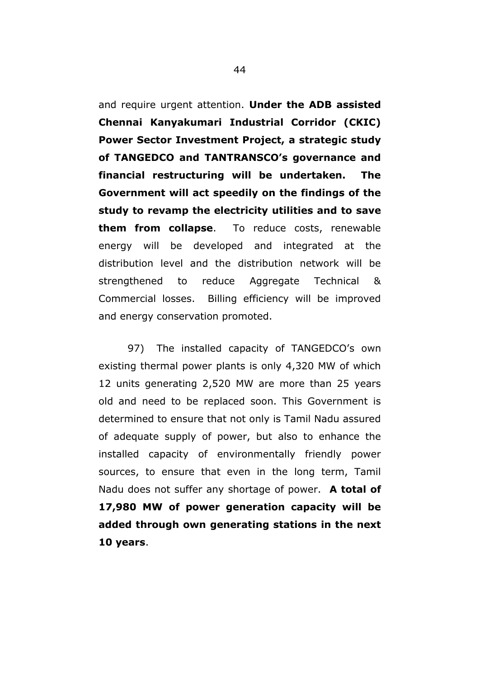and require urgent attention. **Under the ADB assisted Chennai Kanyakumari Industrial Corridor (CKIC) Power Sector Investment Project, a strategic study of TANGEDCO and TANTRANSCO"s governance and financial restructuring will be undertaken. The Government will act speedily on the findings of the study to revamp the electricity utilities and to save them from collapse**. To reduce costs, renewable energy will be developed and integrated at the distribution level and the distribution network will be strengthened to reduce Aggregate Technical & Commercial losses. Billing efficiency will be improved and energy conservation promoted.

97) The installed capacity of TANGEDCO"s own existing thermal power plants is only 4,320 MW of which 12 units generating 2,520 MW are more than 25 years old and need to be replaced soon. This Government is determined to ensure that not only is Tamil Nadu assured of adequate supply of power, but also to enhance the installed capacity of environmentally friendly power sources, to ensure that even in the long term, Tamil Nadu does not suffer any shortage of power. **A total of 17,980 MW of power generation capacity will be added through own generating stations in the next 10 years**.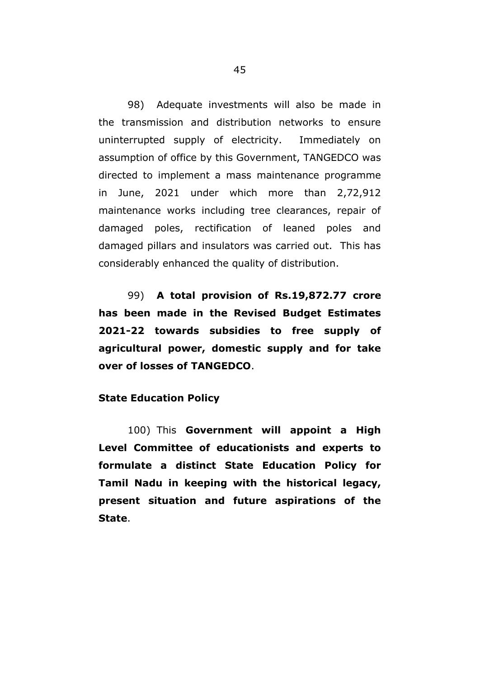98) Adequate investments will also be made in the transmission and distribution networks to ensure uninterrupted supply of electricity. Immediately on assumption of office by this Government, TANGEDCO was directed to implement a mass maintenance programme in June, 2021 under which more than 2,72,912 maintenance works including tree clearances, repair of damaged poles, rectification of leaned poles and damaged pillars and insulators was carried out. This has considerably enhanced the quality of distribution.

99) **A total provision of Rs.19,872.77 crore has been made in the Revised Budget Estimates 2021-22 towards subsidies to free supply of agricultural power, domestic supply and for take over of losses of TANGEDCO**.

## **State Education Policy**

100) This **Government will appoint a High Level Committee of educationists and experts to formulate a distinct State Education Policy for Tamil Nadu in keeping with the historical legacy, present situation and future aspirations of the State**.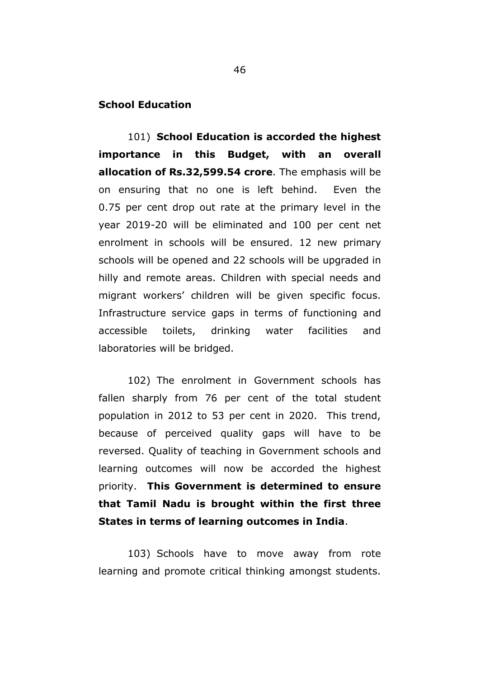## **School Education**

101) **School Education is accorded the highest importance in this Budget, with an overall allocation of Rs.32,599.54 crore**. The emphasis will be on ensuring that no one is left behind. Even the 0.75 per cent drop out rate at the primary level in the year 2019-20 will be eliminated and 100 per cent net enrolment in schools will be ensured. 12 new primary schools will be opened and 22 schools will be upgraded in hilly and remote areas. Children with special needs and migrant workers" children will be given specific focus. Infrastructure service gaps in terms of functioning and accessible toilets, drinking water facilities and laboratories will be bridged.

102) The enrolment in Government schools has fallen sharply from 76 per cent of the total student population in 2012 to 53 per cent in 2020. This trend, because of perceived quality gaps will have to be reversed. Quality of teaching in Government schools and learning outcomes will now be accorded the highest priority. **This Government is determined to ensure that Tamil Nadu is brought within the first three States in terms of learning outcomes in India**.

103) Schools have to move away from rote learning and promote critical thinking amongst students.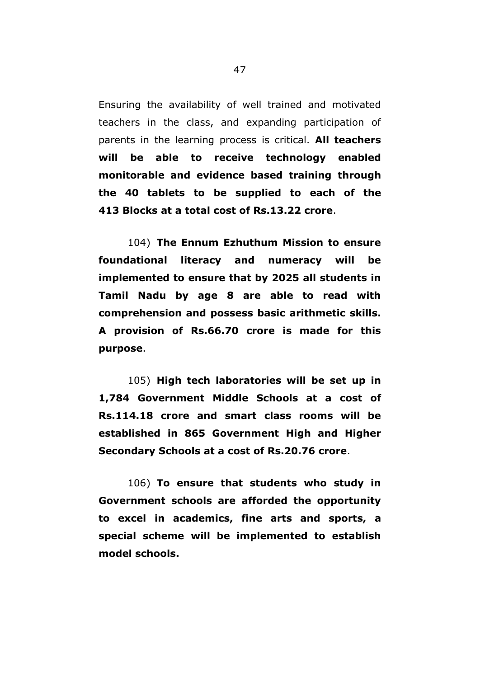Ensuring the availability of well trained and motivated teachers in the class, and expanding participation of parents in the learning process is critical. **All teachers will be able to receive technology enabled monitorable and evidence based training through the 40 tablets to be supplied to each of the 413 Blocks at a total cost of Rs.13.22 crore**.

104) **The Ennum Ezhuthum Mission to ensure foundational literacy and numeracy will be implemented to ensure that by 2025 all students in Tamil Nadu by age 8 are able to read with comprehension and possess basic arithmetic skills. A provision of Rs.66.70 crore is made for this purpose**.

105) **High tech laboratories will be set up in 1,784 Government Middle Schools at a cost of Rs.114.18 crore and smart class rooms will be established in 865 Government High and Higher Secondary Schools at a cost of Rs.20.76 crore**.

106) **To ensure that students who study in Government schools are afforded the opportunity to excel in academics, fine arts and sports, a special scheme will be implemented to establish model schools.**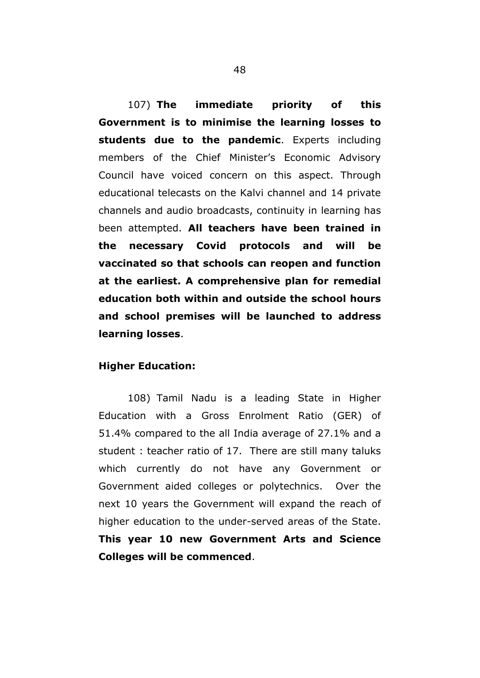107) **The immediate priority of this Government is to minimise the learning losses to students due to the pandemic**. Experts including members of the Chief Minister's Economic Advisory Council have voiced concern on this aspect. Through educational telecasts on the Kalvi channel and 14 private channels and audio broadcasts, continuity in learning has been attempted. **All teachers have been trained in the necessary Covid protocols and will be vaccinated so that schools can reopen and function at the earliest. A comprehensive plan for remedial education both within and outside the school hours and school premises will be launched to address learning losses**.

## **Higher Education:**

108) Tamil Nadu is a leading State in Higher Education with a Gross Enrolment Ratio (GER) of 51.4% compared to the all India average of 27.1% and a student : teacher ratio of 17. There are still many taluks which currently do not have any Government or Government aided colleges or polytechnics. Over the next 10 years the Government will expand the reach of higher education to the under-served areas of the State. **This year 10 new Government Arts and Science Colleges will be commenced**.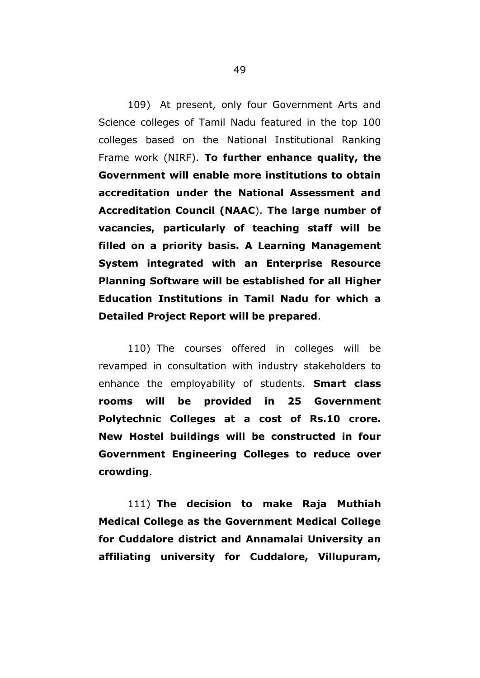109) At present, only four Government Arts and Science colleges of Tamil Nadu featured in the top 100 colleges based on the National Institutional Ranking Frame work (NIRF). **To further enhance quality, the Government will enable more institutions to obtain accreditation under the National Assessment and Accreditation Council (NAAC**). **The large number of vacancies, particularly of teaching staff will be filled on a priority basis. A Learning Management System integrated with an Enterprise Resource Planning Software will be established for all Higher Education Institutions in Tamil Nadu for which a Detailed Project Report will be prepared**.

110) The courses offered in colleges will be revamped in consultation with industry stakeholders to enhance the employability of students. **Smart class rooms will be provided in 25 Government Polytechnic Colleges at a cost of Rs.10 crore. New Hostel buildings will be constructed in four Government Engineering Colleges to reduce over crowding**.

111) **The decision to make Raja Muthiah Medical College as the Government Medical College for Cuddalore district and Annamalai University an affiliating university for Cuddalore, Villupuram,**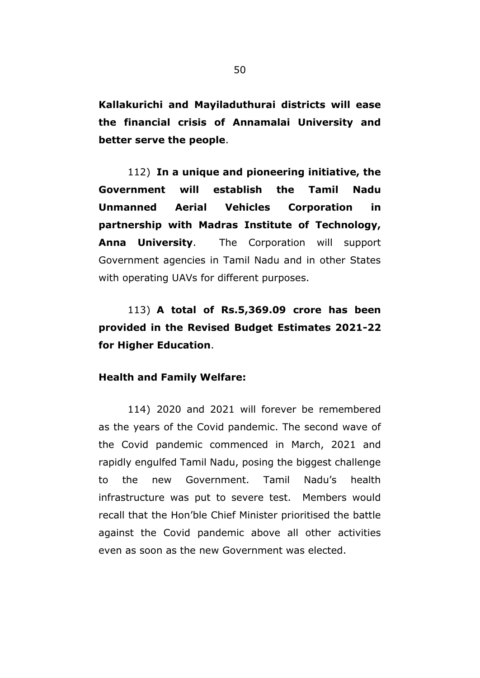**Kallakurichi and Mayiladuthurai districts will ease the financial crisis of Annamalai University and better serve the people**.

112) **In a unique and pioneering initiative, the Government will establish the Tamil Nadu Unmanned Aerial Vehicles Corporation in partnership with Madras Institute of Technology, Anna University**. The Corporation will support Government agencies in Tamil Nadu and in other States with operating UAVs for different purposes.

113) **A total of Rs.5,369.09 crore has been provided in the Revised Budget Estimates 2021-22 for Higher Education**.

#### **Health and Family Welfare:**

114) 2020 and 2021 will forever be remembered as the years of the Covid pandemic. The second wave of the Covid pandemic commenced in March, 2021 and rapidly engulfed Tamil Nadu, posing the biggest challenge to the new Government. Tamil Nadu"s health infrastructure was put to severe test. Members would recall that the Hon"ble Chief Minister prioritised the battle against the Covid pandemic above all other activities even as soon as the new Government was elected.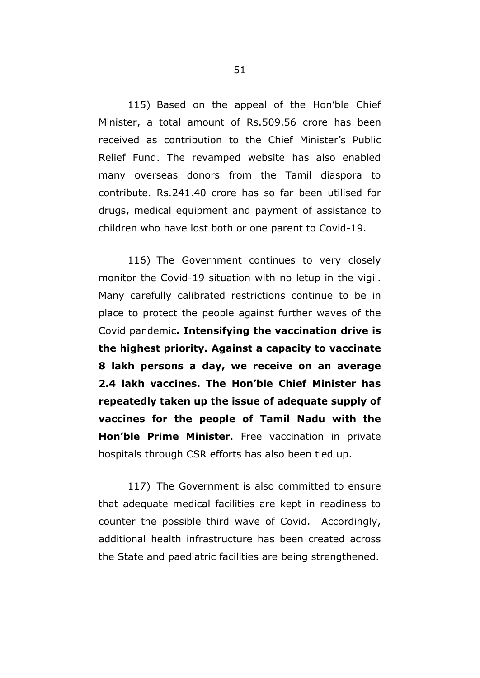115) Based on the appeal of the Hon"ble Chief Minister, a total amount of Rs.509.56 crore has been received as contribution to the Chief Minister"s Public Relief Fund. The revamped website has also enabled many overseas donors from the Tamil diaspora to contribute. Rs.241.40 crore has so far been utilised for drugs, medical equipment and payment of assistance to children who have lost both or one parent to Covid-19.

116) The Government continues to very closely monitor the Covid-19 situation with no letup in the vigil. Many carefully calibrated restrictions continue to be in place to protect the people against further waves of the Covid pandemic**. Intensifying the vaccination drive is the highest priority. Against a capacity to vaccinate 8 lakh persons a day, we receive on an average 2.4 lakh vaccines. The Hon"ble Chief Minister has repeatedly taken up the issue of adequate supply of vaccines for the people of Tamil Nadu with the Hon"ble Prime Minister**. Free vaccination in private hospitals through CSR efforts has also been tied up.

117) The Government is also committed to ensure that adequate medical facilities are kept in readiness to counter the possible third wave of Covid. Accordingly, additional health infrastructure has been created across the State and paediatric facilities are being strengthened.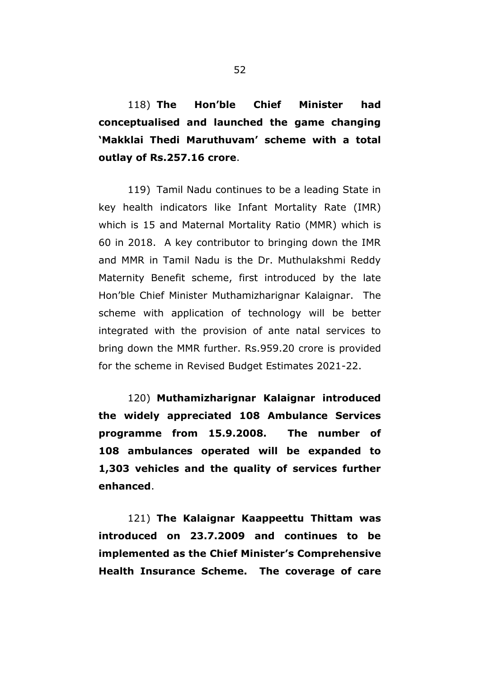118) **The Hon"ble Chief Minister had conceptualised and launched the game changing "Makklai Thedi Maruthuvam" scheme with a total outlay of Rs.257.16 crore**.

119) Tamil Nadu continues to be a leading State in key health indicators like Infant Mortality Rate (IMR) which is 15 and Maternal Mortality Ratio (MMR) which is 60 in 2018. A key contributor to bringing down the IMR and MMR in Tamil Nadu is the Dr. Muthulakshmi Reddy Maternity Benefit scheme, first introduced by the late Hon"ble Chief Minister Muthamizharignar Kalaignar. The scheme with application of technology will be better integrated with the provision of ante natal services to bring down the MMR further. Rs.959.20 crore is provided for the scheme in Revised Budget Estimates 2021-22.

120) **Muthamizharignar Kalaignar introduced the widely appreciated 108 Ambulance Services programme from 15.9.2008. The number of 108 ambulances operated will be expanded to 1,303 vehicles and the quality of services further enhanced**.

121) **The Kalaignar Kaappeettu Thittam was introduced on 23.7.2009 and continues to be implemented as the Chief Minister"s Comprehensive Health Insurance Scheme. The coverage of care**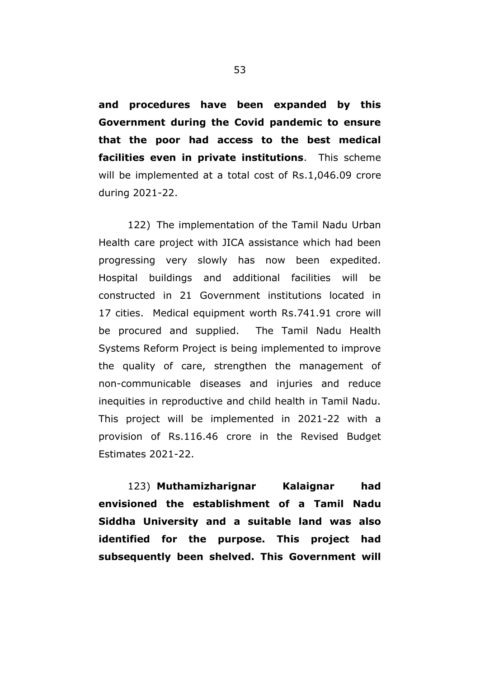**and procedures have been expanded by this Government during the Covid pandemic to ensure that the poor had access to the best medical facilities even in private institutions**. This scheme will be implemented at a total cost of Rs.1,046.09 crore during 2021-22.

122) The implementation of the Tamil Nadu Urban Health care project with JICA assistance which had been progressing very slowly has now been expedited. Hospital buildings and additional facilities will be constructed in 21 Government institutions located in 17 cities. Medical equipment worth Rs.741.91 crore will be procured and supplied. The Tamil Nadu Health Systems Reform Project is being implemented to improve the quality of care, strengthen the management of non-communicable diseases and injuries and reduce inequities in reproductive and child health in Tamil Nadu. This project will be implemented in 2021-22 with a provision of Rs.116.46 crore in the Revised Budget Estimates 2021-22.

123) **Muthamizharignar Kalaignar had envisioned the establishment of a Tamil Nadu Siddha University and a suitable land was also identified for the purpose. This project had subsequently been shelved. This Government will**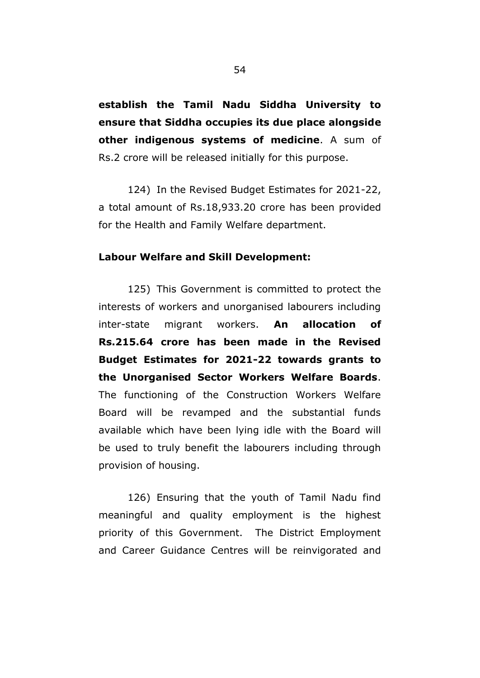**establish the Tamil Nadu Siddha University to ensure that Siddha occupies its due place alongside other indigenous systems of medicine**. A sum of Rs.2 crore will be released initially for this purpose.

124) In the Revised Budget Estimates for 2021-22, a total amount of Rs.18,933.20 crore has been provided for the Health and Family Welfare department.

#### **Labour Welfare and Skill Development:**

125) This Government is committed to protect the interests of workers and unorganised labourers including inter-state migrant workers. **An allocation of Rs.215.64 crore has been made in the Revised Budget Estimates for 2021-22 towards grants to the Unorganised Sector Workers Welfare Boards**. The functioning of the Construction Workers Welfare Board will be revamped and the substantial funds available which have been lying idle with the Board will be used to truly benefit the labourers including through provision of housing.

126) Ensuring that the youth of Tamil Nadu find meaningful and quality employment is the highest priority of this Government. The District Employment and Career Guidance Centres will be reinvigorated and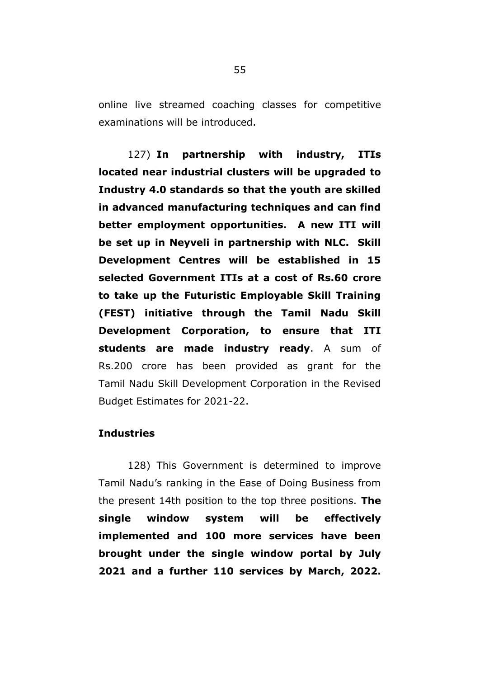online live streamed coaching classes for competitive examinations will be introduced.

127) **In partnership with industry, ITIs located near industrial clusters will be upgraded to Industry 4.0 standards so that the youth are skilled in advanced manufacturing techniques and can find better employment opportunities. A new ITI will be set up in Neyveli in partnership with NLC. Skill Development Centres will be established in 15 selected Government ITIs at a cost of Rs.60 crore to take up the Futuristic Employable Skill Training (FEST) initiative through the Tamil Nadu Skill Development Corporation, to ensure that ITI students are made industry ready**. A sum of Rs.200 crore has been provided as grant for the Tamil Nadu Skill Development Corporation in the Revised Budget Estimates for 2021-22.

#### **Industries**

128) This Government is determined to improve Tamil Nadu"s ranking in the Ease of Doing Business from the present 14th position to the top three positions. **The single window system will be effectively implemented and 100 more services have been brought under the single window portal by July 2021 and a further 110 services by March, 2022.**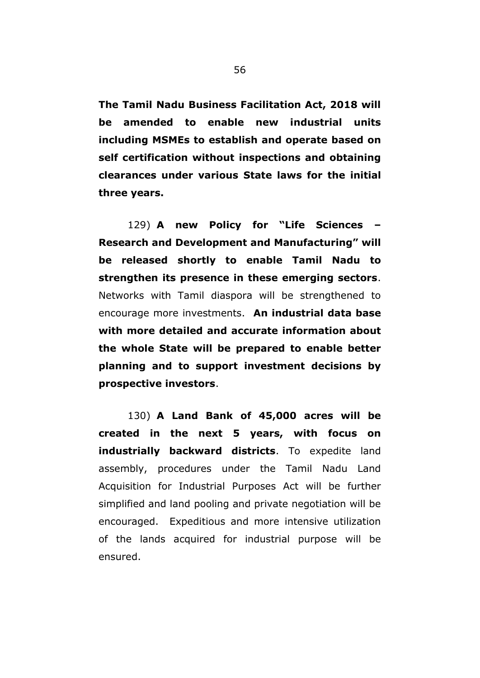**The Tamil Nadu Business Facilitation Act, 2018 will be amended to enable new industrial units including MSMEs to establish and operate based on self certification without inspections and obtaining clearances under various State laws for the initial three years.**

129) **A new Policy for "Life Sciences – Research and Development and Manufacturing" will be released shortly to enable Tamil Nadu to strengthen its presence in these emerging sectors**. Networks with Tamil diaspora will be strengthened to encourage more investments. **An industrial data base with more detailed and accurate information about the whole State will be prepared to enable better planning and to support investment decisions by prospective investors**.

130) **A Land Bank of 45,000 acres will be created in the next 5 years, with focus on industrially backward districts**. To expedite land assembly, procedures under the Tamil Nadu Land Acquisition for Industrial Purposes Act will be further simplified and land pooling and private negotiation will be encouraged. Expeditious and more intensive utilization of the lands acquired for industrial purpose will be ensured.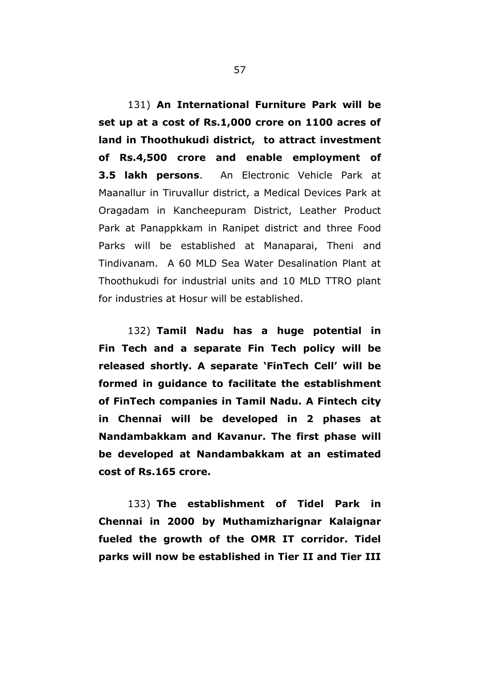131) **An International Furniture Park will be set up at a cost of Rs.1,000 crore on 1100 acres of land in Thoothukudi district, to attract investment of Rs.4,500 crore and enable employment of 3.5 lakh persons**. An Electronic Vehicle Park at Maanallur in Tiruvallur district, a Medical Devices Park at Oragadam in Kancheepuram District, Leather Product Park at Panappkkam in Ranipet district and three Food Parks will be established at Manaparai, Theni and Tindivanam. A 60 MLD Sea Water Desalination Plant at Thoothukudi for industrial units and 10 MLD TTRO plant for industries at Hosur will be established.

132) **Tamil Nadu has a huge potential in Fin Tech and a separate Fin Tech policy will be released shortly. A separate "FinTech Cell" will be formed in guidance to facilitate the establishment of FinTech companies in Tamil Nadu. A Fintech city in Chennai will be developed in 2 phases at Nandambakkam and Kavanur. The first phase will be developed at Nandambakkam at an estimated cost of Rs.165 crore.**

133) **The establishment of Tidel Park in Chennai in 2000 by Muthamizharignar Kalaignar fueled the growth of the OMR IT corridor. Tidel parks will now be established in Tier II and Tier III**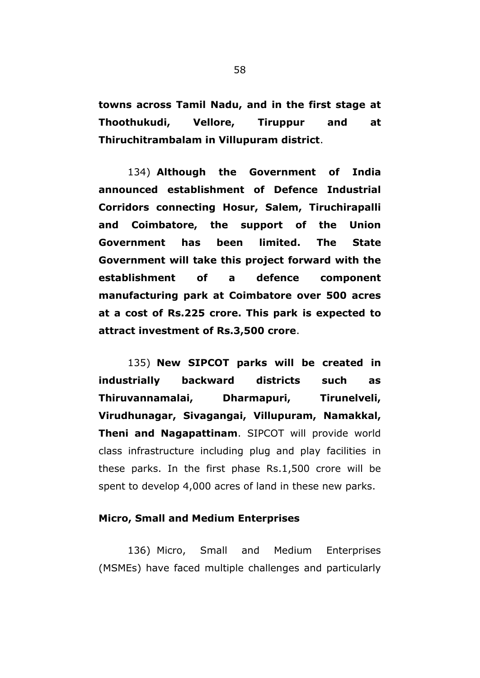**towns across Tamil Nadu, and in the first stage at Thoothukudi, Vellore, Tiruppur and at Thiruchitrambalam in Villupuram district**.

134) **Although the Government of India announced establishment of Defence Industrial Corridors connecting Hosur, Salem, Tiruchirapalli and Coimbatore, the support of the Union Government has been limited. The State Government will take this project forward with the establishment of a defence component manufacturing park at Coimbatore over 500 acres at a cost of Rs.225 crore. This park is expected to attract investment of Rs.3,500 crore**.

135) **New SIPCOT parks will be created in industrially backward districts such as Thiruvannamalai, Dharmapuri, Tirunelveli, Virudhunagar, Sivagangai, Villupuram, Namakkal, Theni and Nagapattinam**. SIPCOT will provide world class infrastructure including plug and play facilities in these parks. In the first phase Rs.1,500 crore will be spent to develop 4,000 acres of land in these new parks.

## **Micro, Small and Medium Enterprises**

136) Micro, Small and Medium Enterprises (MSMEs) have faced multiple challenges and particularly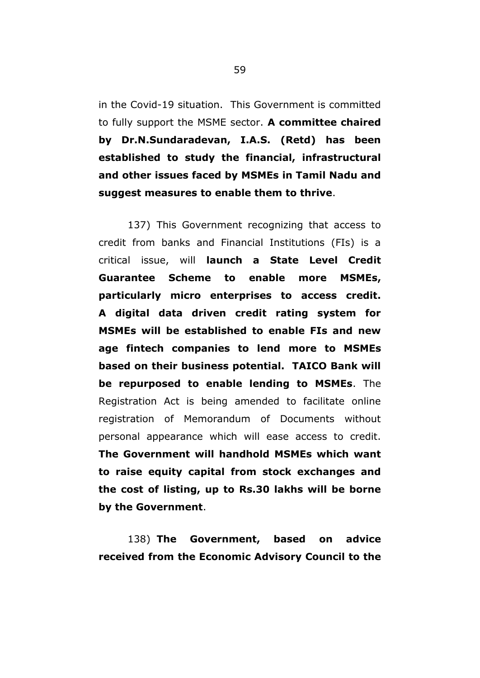in the Covid-19 situation. This Government is committed to fully support the MSME sector. **A committee chaired by Dr.N.Sundaradevan, I.A.S. (Retd) has been established to study the financial, infrastructural and other issues faced by MSMEs in Tamil Nadu and suggest measures to enable them to thrive**.

137) This Government recognizing that access to credit from banks and Financial Institutions (FIs) is a critical issue, will **launch a State Level Credit Guarantee Scheme to enable more MSMEs, particularly micro enterprises to access credit. A digital data driven credit rating system for MSMEs will be established to enable FIs and new age fintech companies to lend more to MSMEs based on their business potential. TAICO Bank will be repurposed to enable lending to MSMEs**. The Registration Act is being amended to facilitate online registration of Memorandum of Documents without personal appearance which will ease access to credit. **The Government will handhold MSMEs which want to raise equity capital from stock exchanges and the cost of listing, up to Rs.30 lakhs will be borne by the Government**.

138) **The Government, based on advice received from the Economic Advisory Council to the**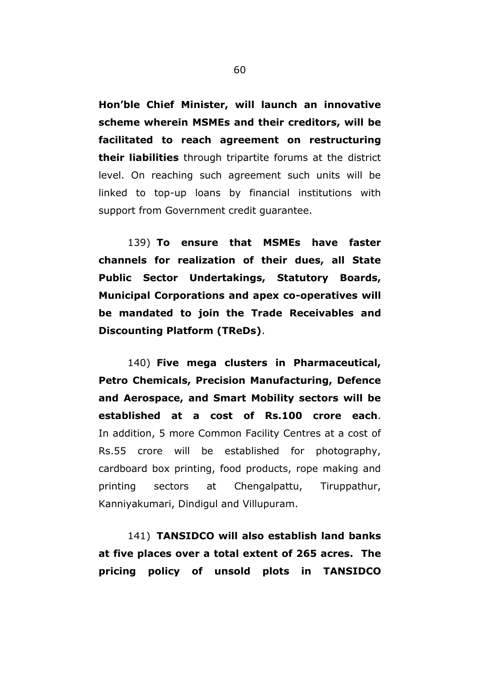**Hon"ble Chief Minister, will launch an innovative scheme wherein MSMEs and their creditors, will be facilitated to reach agreement on restructuring their liabilities** through tripartite forums at the district level. On reaching such agreement such units will be linked to top-up loans by financial institutions with support from Government credit guarantee.

139) **To ensure that MSMEs have faster channels for realization of their dues, all State Public Sector Undertakings, Statutory Boards, Municipal Corporations and apex co-operatives will be mandated to join the Trade Receivables and Discounting Platform (TReDs)**.

140) **Five mega clusters in Pharmaceutical, Petro Chemicals, Precision Manufacturing, Defence and Aerospace, and Smart Mobility sectors will be established at a cost of Rs.100 crore each**. In addition, 5 more Common Facility Centres at a cost of Rs.55 crore will be established for photography, cardboard box printing, food products, rope making and printing sectors at Chengalpattu, Tiruppathur, Kanniyakumari, Dindigul and Villupuram.

141) **TANSIDCO will also establish land banks at five places over a total extent of 265 acres. The pricing policy of unsold plots in TANSIDCO**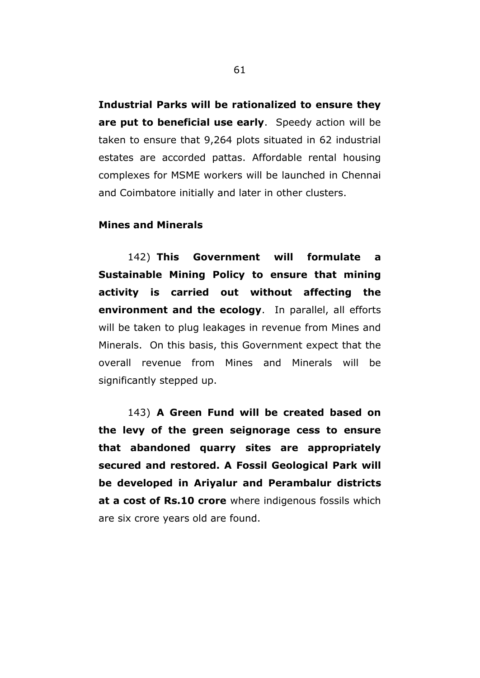**Industrial Parks will be rationalized to ensure they are put to beneficial use early**. Speedy action will be taken to ensure that 9,264 plots situated in 62 industrial estates are accorded pattas. Affordable rental housing complexes for MSME workers will be launched in Chennai and Coimbatore initially and later in other clusters.

## **Mines and Minerals**

142) **This Government will formulate a Sustainable Mining Policy to ensure that mining activity is carried out without affecting the environment and the ecology**. In parallel, all efforts will be taken to plug leakages in revenue from Mines and Minerals. On this basis, this Government expect that the overall revenue from Mines and Minerals will be significantly stepped up.

143) **A Green Fund will be created based on the levy of the green seignorage cess to ensure that abandoned quarry sites are appropriately secured and restored. A Fossil Geological Park will be developed in Ariyalur and Perambalur districts at a cost of Rs.10 crore** where indigenous fossils which are six crore years old are found.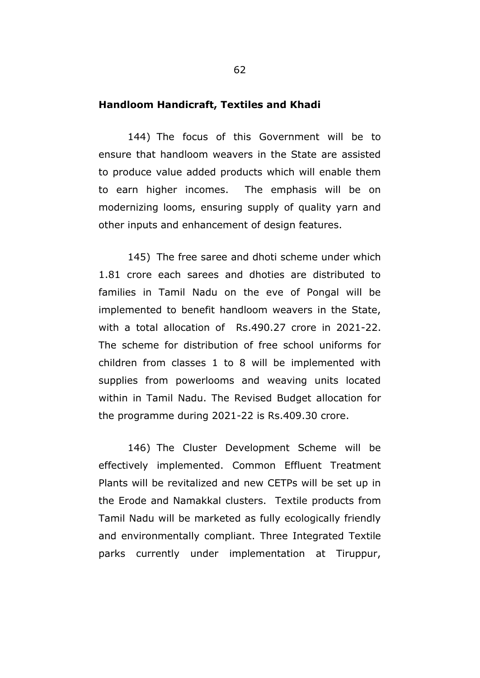## **Handloom Handicraft, Textiles and Khadi**

144) The focus of this Government will be to ensure that handloom weavers in the State are assisted to produce value added products which will enable them to earn higher incomes. The emphasis will be on modernizing looms, ensuring supply of quality yarn and other inputs and enhancement of design features.

145) The free saree and dhoti scheme under which 1.81 crore each sarees and dhoties are distributed to families in Tamil Nadu on the eve of Pongal will be implemented to benefit handloom weavers in the State, with a total allocation of Rs.490.27 crore in 2021-22. The scheme for distribution of free school uniforms for children from classes 1 to 8 will be implemented with supplies from powerlooms and weaving units located within in Tamil Nadu. The Revised Budget allocation for the programme during 2021-22 is Rs.409.30 crore.

146) The Cluster Development Scheme will be effectively implemented. Common Effluent Treatment Plants will be revitalized and new CETPs will be set up in the Erode and Namakkal clusters. Textile products from Tamil Nadu will be marketed as fully ecologically friendly and environmentally compliant. Three Integrated Textile parks currently under implementation at Tiruppur,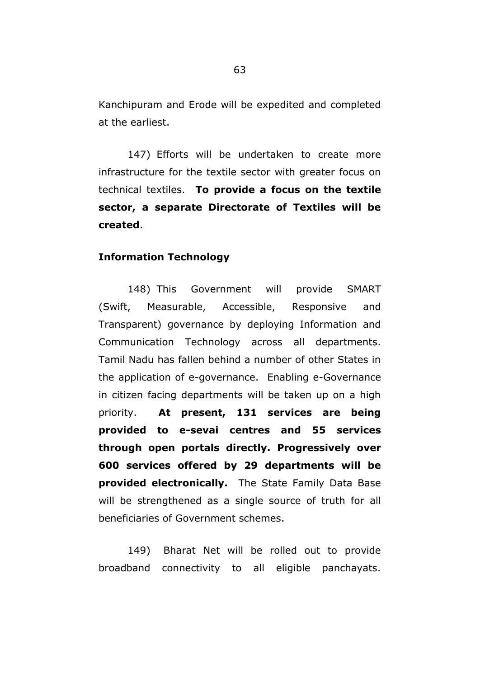Kanchipuram and Erode will be expedited and completed at the earliest.

147) Efforts will be undertaken to create more infrastructure for the textile sector with greater focus on technical textiles. **To provide a focus on the textile sector, a separate Directorate of Textiles will be created**.

#### **Information Technology**

148) This Government will provide SMART (Swift, Measurable, Accessible, Responsive and Transparent) governance by deploying Information and Communication Technology across all departments. Tamil Nadu has fallen behind a number of other States in the application of e-governance. Enabling e-Governance in citizen facing departments will be taken up on a high priority. **At present, 131 services are being provided to e-sevai centres and 55 services through open portals directly. Progressively over 600 services offered by 29 departments will be provided electronically.** The State Family Data Base will be strengthened as a single source of truth for all beneficiaries of Government schemes.

149) Bharat Net will be rolled out to provide broadband connectivity to all eligible panchayats.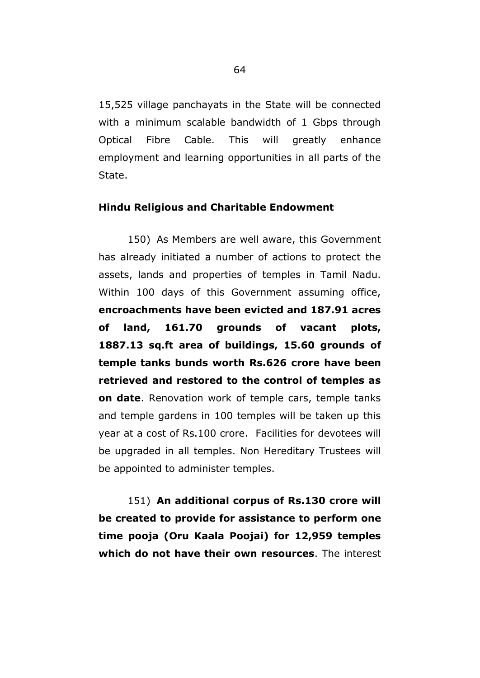15,525 village panchayats in the State will be connected with a minimum scalable bandwidth of 1 Gbps through Optical Fibre Cable. This will greatly enhance employment and learning opportunities in all parts of the State.

## **Hindu Religious and Charitable Endowment**

150) As Members are well aware, this Government has already initiated a number of actions to protect the assets, lands and properties of temples in Tamil Nadu. Within 100 days of this Government assuming office, **encroachments have been evicted and 187.91 acres of land, 161.70 grounds of vacant plots, 1887.13 sq.ft area of buildings, 15.60 grounds of temple tanks bunds worth Rs.626 crore have been retrieved and restored to the control of temples as on date**. Renovation work of temple cars, temple tanks and temple gardens in 100 temples will be taken up this year at a cost of Rs.100 crore. Facilities for devotees will be upgraded in all temples. Non Hereditary Trustees will be appointed to administer temples.

151) **An additional corpus of Rs.130 crore will be created to provide for assistance to perform one time pooja (Oru Kaala Poojai) for 12,959 temples which do not have their own resources**. The interest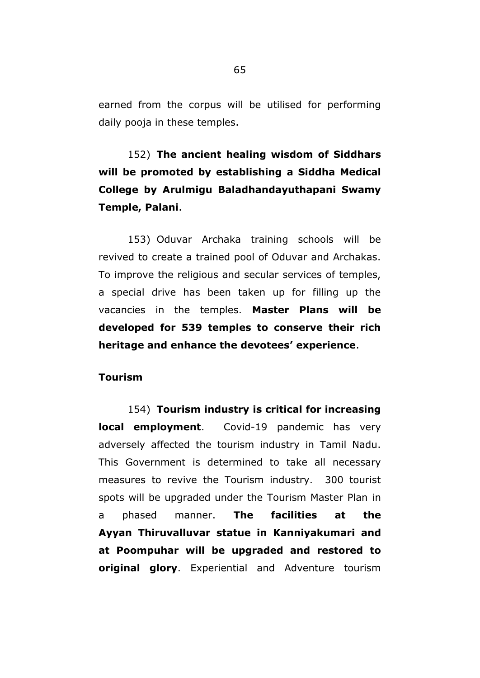earned from the corpus will be utilised for performing daily pooja in these temples.

# 152) **The ancient healing wisdom of Siddhars will be promoted by establishing a Siddha Medical College by Arulmigu Baladhandayuthapani Swamy Temple, Palani**.

153) Oduvar Archaka training schools will be revived to create a trained pool of Oduvar and Archakas. To improve the religious and secular services of temples, a special drive has been taken up for filling up the vacancies in the temples. **Master Plans will be developed for 539 temples to conserve their rich heritage and enhance the devotees" experience**.

## **Tourism**

154) **Tourism industry is critical for increasing local employment**. Covid-19 pandemic has very adversely affected the tourism industry in Tamil Nadu. This Government is determined to take all necessary measures to revive the Tourism industry. 300 tourist spots will be upgraded under the Tourism Master Plan in a phased manner. **The facilities at the Ayyan Thiruvalluvar statue in Kanniyakumari and at Poompuhar will be upgraded and restored to original glory**. Experiential and Adventure tourism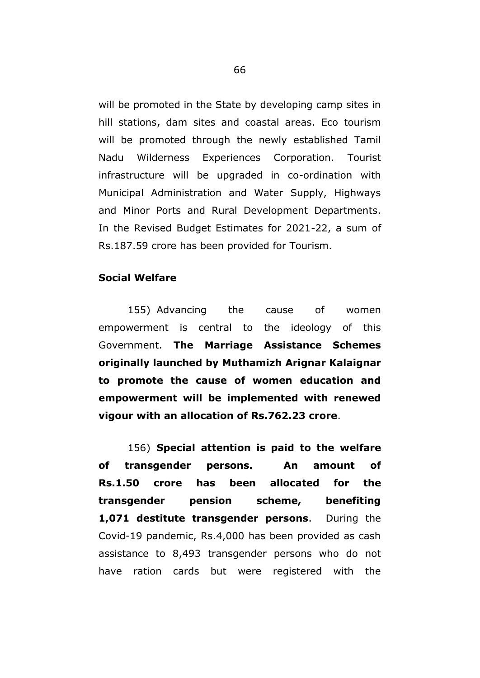will be promoted in the State by developing camp sites in hill stations, dam sites and coastal areas. Eco tourism will be promoted through the newly established Tamil Nadu Wilderness Experiences Corporation. Tourist infrastructure will be upgraded in co-ordination with Municipal Administration and Water Supply, Highways and Minor Ports and Rural Development Departments. In the Revised Budget Estimates for 2021-22, a sum of Rs.187.59 crore has been provided for Tourism.

## **Social Welfare**

155) Advancing the cause of women empowerment is central to the ideology of this Government. **The Marriage Assistance Schemes originally launched by Muthamizh Arignar Kalaignar to promote the cause of women education and empowerment will be implemented with renewed vigour with an allocation of Rs.762.23 crore**.

156) **Special attention is paid to the welfare of transgender persons. An amount of Rs.1.50 crore has been allocated for the transgender pension scheme, benefiting 1,071 destitute transgender persons**. During the Covid-19 pandemic, Rs.4,000 has been provided as cash assistance to 8,493 transgender persons who do not have ration cards but were registered with the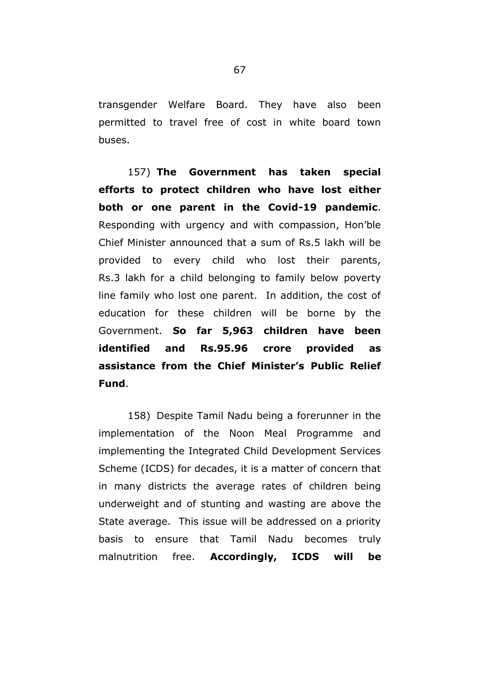transgender Welfare Board. They have also been permitted to travel free of cost in white board town buses.

157) **The Government has taken special efforts to protect children who have lost either both or one parent in the Covid-19 pandemic**. Responding with urgency and with compassion, Hon"ble Chief Minister announced that a sum of Rs.5 lakh will be provided to every child who lost their parents, Rs.3 lakh for a child belonging to family below poverty line family who lost one parent. In addition, the cost of education for these children will be borne by the Government. **So far 5,963 children have been identified and Rs.95.96 crore provided as assistance from the Chief Minister"s Public Relief Fund**.

158) Despite Tamil Nadu being a forerunner in the implementation of the Noon Meal Programme and implementing the Integrated Child Development Services Scheme (ICDS) for decades, it is a matter of concern that in many districts the average rates of children being underweight and of stunting and wasting are above the State average. This issue will be addressed on a priority basis to ensure that Tamil Nadu becomes truly malnutrition free. **Accordingly, ICDS will be**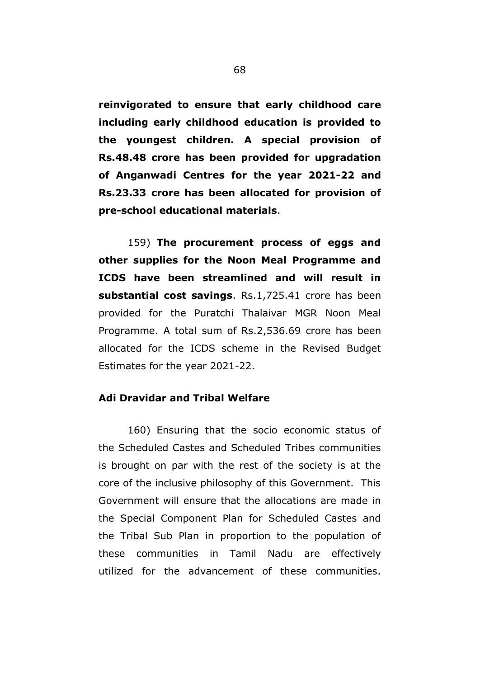**reinvigorated to ensure that early childhood care including early childhood education is provided to the youngest children. A special provision of Rs.48.48 crore has been provided for upgradation of Anganwadi Centres for the year 2021-22 and Rs.23.33 crore has been allocated for provision of pre-school educational materials**.

159) **The procurement process of eggs and other supplies for the Noon Meal Programme and ICDS have been streamlined and will result in substantial cost savings**. Rs.1,725.41 crore has been provided for the Puratchi Thalaivar MGR Noon Meal Programme. A total sum of Rs.2,536.69 crore has been allocated for the ICDS scheme in the Revised Budget Estimates for the year 2021-22.

## **Adi Dravidar and Tribal Welfare**

160) Ensuring that the socio economic status of the Scheduled Castes and Scheduled Tribes communities is brought on par with the rest of the society is at the core of the inclusive philosophy of this Government. This Government will ensure that the allocations are made in the Special Component Plan for Scheduled Castes and the Tribal Sub Plan in proportion to the population of these communities in Tamil Nadu are effectively utilized for the advancement of these communities.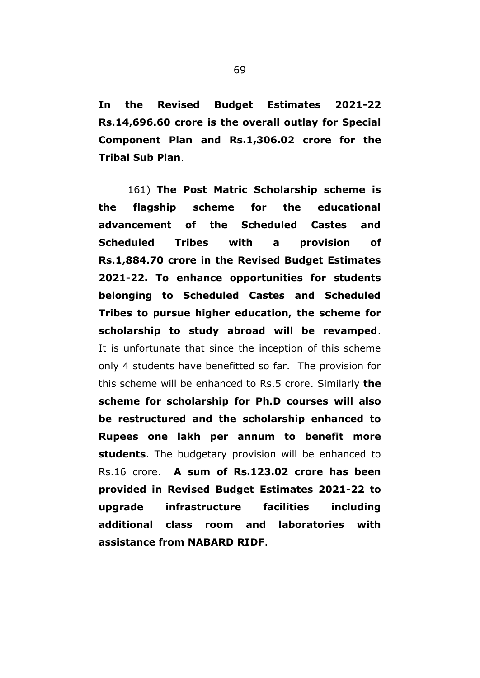**In the Revised Budget Estimates 2021-22 Rs.14,696.60 crore is the overall outlay for Special Component Plan and Rs.1,306.02 crore for the Tribal Sub Plan**.

161) **The Post Matric Scholarship scheme is the flagship scheme for the educational advancement of the Scheduled Castes and Scheduled Tribes with a provision of Rs.1,884.70 crore in the Revised Budget Estimates 2021-22. To enhance opportunities for students belonging to Scheduled Castes and Scheduled Tribes to pursue higher education, the scheme for scholarship to study abroad will be revamped**. It is unfortunate that since the inception of this scheme only 4 students have benefitted so far. The provision for this scheme will be enhanced to Rs.5 crore. Similarly **the scheme for scholarship for Ph.D courses will also be restructured and the scholarship enhanced to Rupees one lakh per annum to benefit more students**. The budgetary provision will be enhanced to Rs.16 crore. **A sum of Rs.123.02 crore has been provided in Revised Budget Estimates 2021-22 to upgrade infrastructure facilities including additional class room and laboratories with assistance from NABARD RIDF**.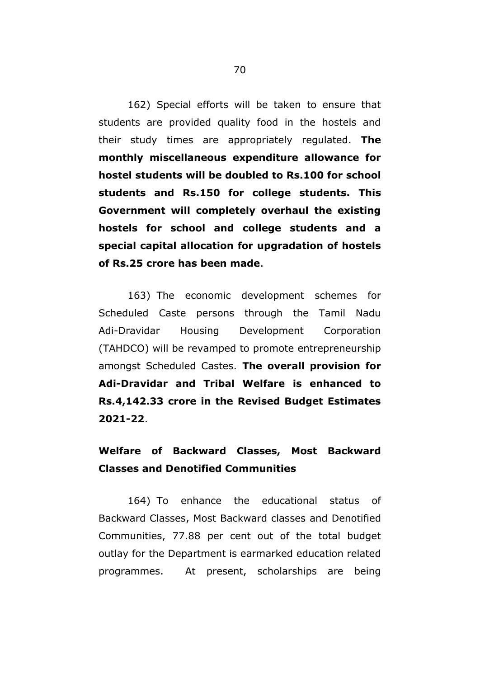162) Special efforts will be taken to ensure that students are provided quality food in the hostels and their study times are appropriately regulated. **The monthly miscellaneous expenditure allowance for hostel students will be doubled to Rs.100 for school students and Rs.150 for college students. This Government will completely overhaul the existing hostels for school and college students and a special capital allocation for upgradation of hostels of Rs.25 crore has been made**.

163) The economic development schemes for Scheduled Caste persons through the Tamil Nadu Adi-Dravidar Housing Development Corporation (TAHDCO) will be revamped to promote entrepreneurship amongst Scheduled Castes. **The overall provision for Adi-Dravidar and Tribal Welfare is enhanced to Rs.4,142.33 crore in the Revised Budget Estimates 2021-22**.

## **Welfare of Backward Classes, Most Backward Classes and Denotified Communities**

164) To enhance the educational status of Backward Classes, Most Backward classes and Denotified Communities, 77.88 per cent out of the total budget outlay for the Department is earmarked education related programmes. At present, scholarships are being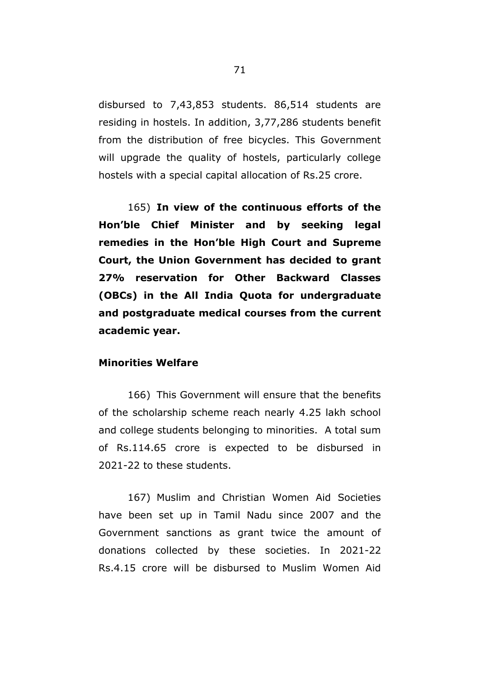disbursed to 7,43,853 students. 86,514 students are residing in hostels. In addition, 3,77,286 students benefit from the distribution of free bicycles. This Government will upgrade the quality of hostels, particularly college hostels with a special capital allocation of Rs.25 crore.

165) **In view of the continuous efforts of the Hon"ble Chief Minister and by seeking legal remedies in the Hon"ble High Court and Supreme Court, the Union Government has decided to grant 27% reservation for Other Backward Classes (OBCs) in the All India Quota for undergraduate and postgraduate medical courses from the current academic year.** 

## **Minorities Welfare**

166) This Government will ensure that the benefits of the scholarship scheme reach nearly 4.25 lakh school and college students belonging to minorities. A total sum of Rs.114.65 crore is expected to be disbursed in 2021-22 to these students.

167) Muslim and Christian Women Aid Societies have been set up in Tamil Nadu since 2007 and the Government sanctions as grant twice the amount of donations collected by these societies. In 2021-22 Rs.4.15 crore will be disbursed to Muslim Women Aid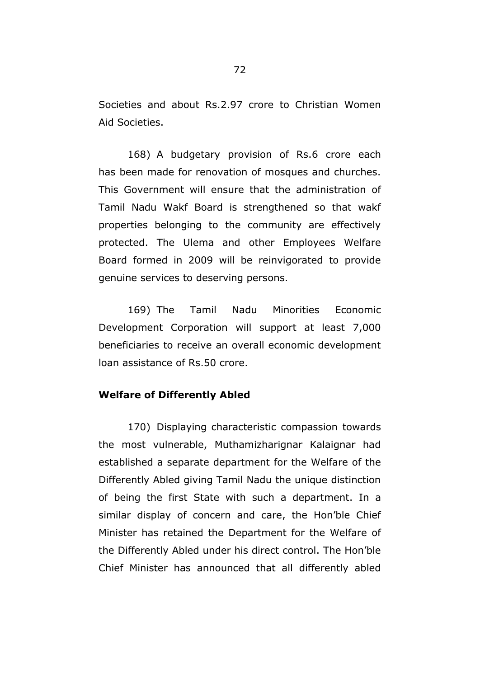Societies and about Rs.2.97 crore to Christian Women Aid Societies.

168) A budgetary provision of Rs.6 crore each has been made for renovation of mosques and churches. This Government will ensure that the administration of Tamil Nadu Wakf Board is strengthened so that wakf properties belonging to the community are effectively protected. The Ulema and other Employees Welfare Board formed in 2009 will be reinvigorated to provide genuine services to deserving persons.

169) The Tamil Nadu Minorities Economic Development Corporation will support at least 7,000 beneficiaries to receive an overall economic development loan assistance of Rs.50 crore.

## **Welfare of Differently Abled**

170) Displaying characteristic compassion towards the most vulnerable, Muthamizharignar Kalaignar had established a separate department for the Welfare of the Differently Abled giving Tamil Nadu the unique distinction of being the first State with such a department. In a similar display of concern and care, the Hon"ble Chief Minister has retained the Department for the Welfare of the Differently Abled under his direct control. The Hon"ble Chief Minister has announced that all differently abled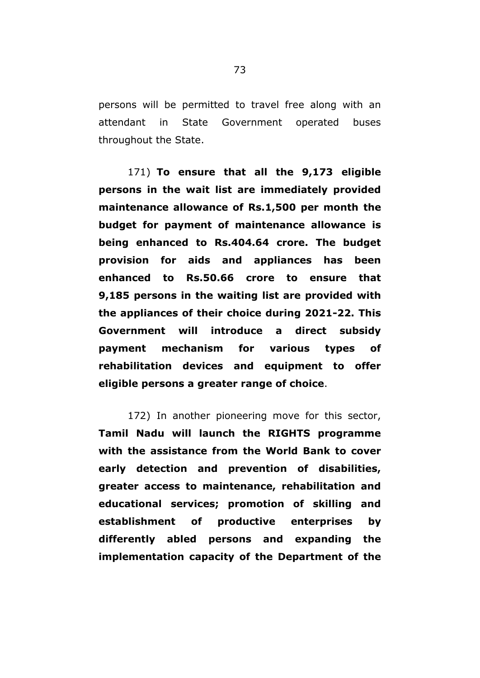persons will be permitted to travel free along with an attendant in State Government operated buses throughout the State.

171) **To ensure that all the 9,173 eligible persons in the wait list are immediately provided maintenance allowance of Rs.1,500 per month the budget for payment of maintenance allowance is being enhanced to Rs.404.64 crore. The budget provision for aids and appliances has been enhanced to Rs.50.66 crore to ensure that 9,185 persons in the waiting list are provided with the appliances of their choice during 2021-22. This Government will introduce a direct subsidy payment mechanism for various types of rehabilitation devices and equipment to offer eligible persons a greater range of choice**.

172) In another pioneering move for this sector, **Tamil Nadu will launch the RIGHTS programme with the assistance from the World Bank to cover early detection and prevention of disabilities, greater access to maintenance, rehabilitation and educational services; promotion of skilling and establishment of productive enterprises by differently abled persons and expanding the implementation capacity of the Department of the**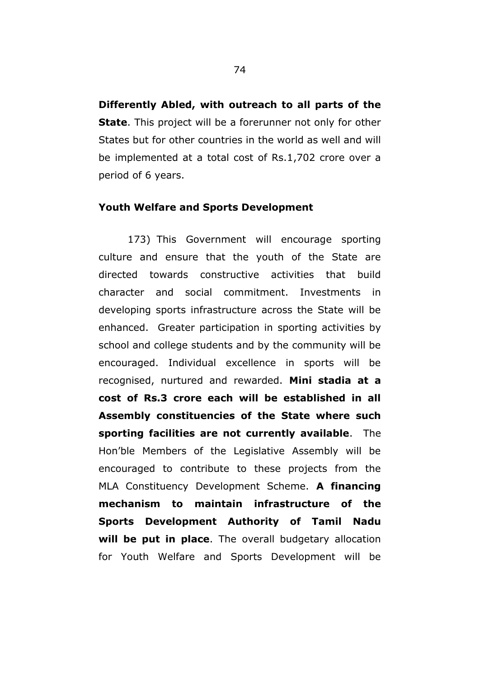**Differently Abled, with outreach to all parts of the State**. This project will be a forerunner not only for other States but for other countries in the world as well and will be implemented at a total cost of Rs.1,702 crore over a period of 6 years.

## **Youth Welfare and Sports Development**

173) This Government will encourage sporting culture and ensure that the youth of the State are directed towards constructive activities that build character and social commitment. Investments in developing sports infrastructure across the State will be enhanced. Greater participation in sporting activities by school and college students and by the community will be encouraged. Individual excellence in sports will be recognised, nurtured and rewarded. **Mini stadia at a cost of Rs.3 crore each will be established in all Assembly constituencies of the State where such sporting facilities are not currently available**. The Hon"ble Members of the Legislative Assembly will be encouraged to contribute to these projects from the MLA Constituency Development Scheme. **A financing mechanism to maintain infrastructure of the Sports Development Authority of Tamil Nadu will be put in place**. The overall budgetary allocation for Youth Welfare and Sports Development will be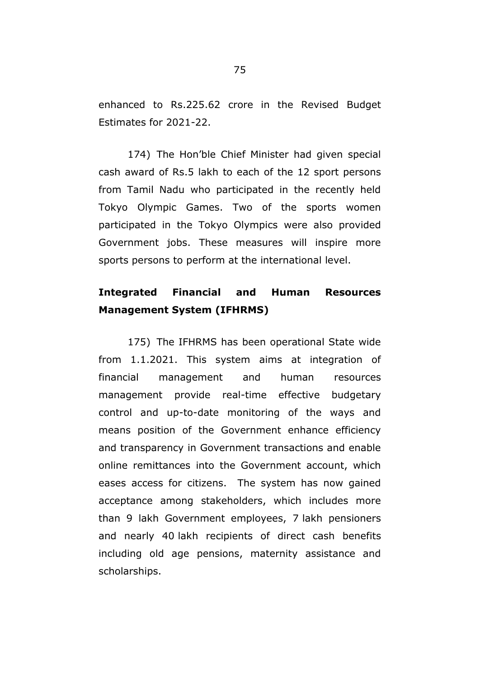enhanced to Rs.225.62 crore in the Revised Budget Estimates for 2021-22.

174) The Hon"ble Chief Minister had given special cash award of Rs.5 lakh to each of the 12 sport persons from Tamil Nadu who participated in the recently held Tokyo Olympic Games. Two of the sports women participated in the Tokyo Olympics were also provided Government jobs. These measures will inspire more sports persons to perform at the international level.

# **Integrated Financial and Human Resources Management System (IFHRMS)**

175) The IFHRMS has been operational State wide from 1.1.2021. This system aims at integration of financial management and human resources management provide real-time effective budgetary control and up-to-date monitoring of the ways and means position of the Government enhance efficiency and transparency in Government transactions and enable online remittances into the Government account, which eases access for citizens. The system has now gained acceptance among stakeholders, which includes more than 9 lakh Government employees, 7 lakh pensioners and nearly 40 lakh recipients of direct cash benefits including old age pensions, maternity assistance and scholarships.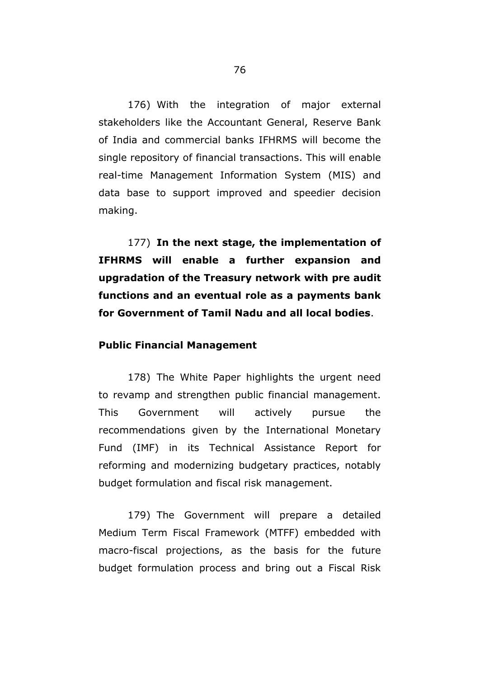176) With the integration of major external stakeholders like the Accountant General, Reserve Bank of India and commercial banks IFHRMS will become the single repository of financial transactions. This will enable real-time Management Information System (MIS) and data base to support improved and speedier decision making.

177) **In the next stage, the implementation of IFHRMS will enable a further expansion and upgradation of the Treasury network with pre audit functions and an eventual role as a payments bank for Government of Tamil Nadu and all local bodies**.

## **Public Financial Management**

178) The White Paper highlights the urgent need to revamp and strengthen public financial management. This Government will actively pursue the recommendations given by the International Monetary Fund (IMF) in its Technical Assistance Report for reforming and modernizing budgetary practices, notably budget formulation and fiscal risk management.

179) The Government will prepare a detailed Medium Term Fiscal Framework (MTFF) embedded with macro-fiscal projections, as the basis for the future budget formulation process and bring out a Fiscal Risk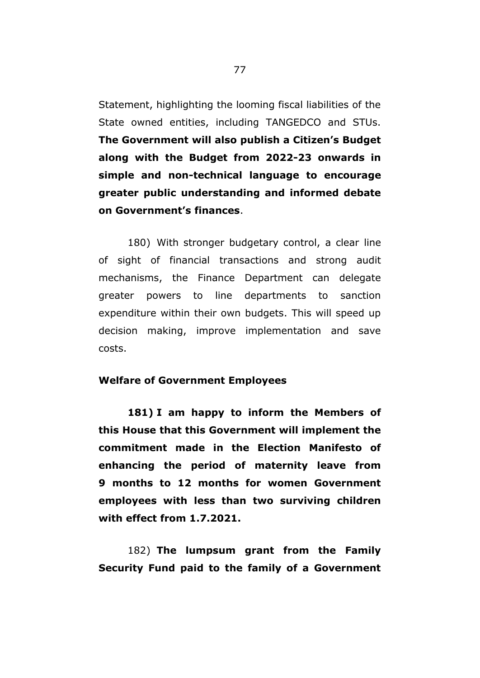Statement, highlighting the looming fiscal liabilities of the State owned entities, including TANGEDCO and STUs. **The Government will also publish a Citizen"s Budget along with the Budget from 2022-23 onwards in simple and non-technical language to encourage greater public understanding and informed debate on Government"s finances**.

180) With stronger budgetary control, a clear line of sight of financial transactions and strong audit mechanisms, the Finance Department can delegate greater powers to line departments to sanction expenditure within their own budgets. This will speed up decision making, improve implementation and save costs.

### **Welfare of Government Employees**

**181) I am happy to inform the Members of this House that this Government will implement the commitment made in the Election Manifesto of enhancing the period of maternity leave from 9 months to 12 months for women Government employees with less than two surviving children with effect from 1.7.2021.** 

182) **The lumpsum grant from the Family Security Fund paid to the family of a Government**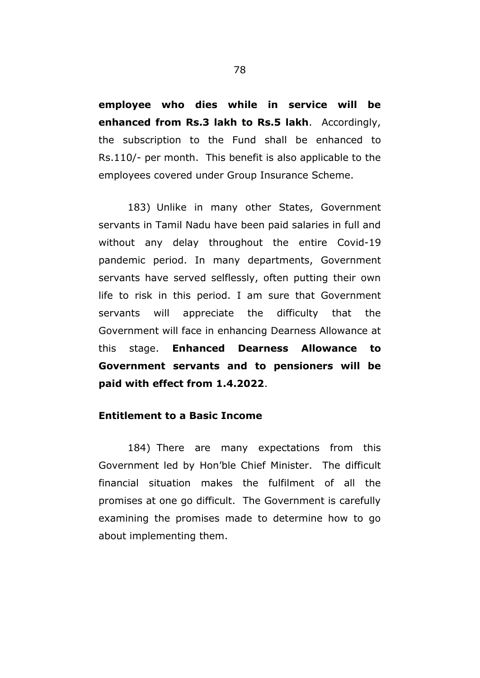**employee who dies while in service will be enhanced from Rs.3 lakh to Rs.5 lakh**. Accordingly, the subscription to the Fund shall be enhanced to Rs.110/- per month. This benefit is also applicable to the employees covered under Group Insurance Scheme.

183) Unlike in many other States, Government servants in Tamil Nadu have been paid salaries in full and without any delay throughout the entire Covid-19 pandemic period. In many departments, Government servants have served selflessly, often putting their own life to risk in this period. I am sure that Government servants will appreciate the difficulty that the Government will face in enhancing Dearness Allowance at this stage. **Enhanced Dearness Allowance to Government servants and to pensioners will be paid with effect from 1.4.2022**.

# **Entitlement to a Basic Income**

184) There are many expectations from this Government led by Hon"ble Chief Minister. The difficult financial situation makes the fulfilment of all the promises at one go difficult. The Government is carefully examining the promises made to determine how to go about implementing them.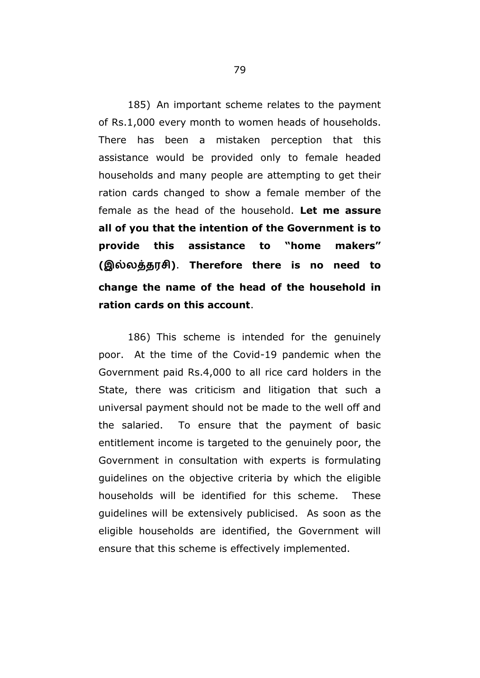185) An important scheme relates to the payment of Rs.1,000 every month to women heads of households. There has been a mistaken perception that this assistance would be provided only to female headed households and many people are attempting to get their ration cards changed to show a female member of the female as the head of the household. **Let me assure all of you that the intention of the Government is to provide this assistance to "home makers" ( )**. **Therefore there is no need to change the name of the head of the household in ration cards on this account**.

186) This scheme is intended for the genuinely poor. At the time of the Covid-19 pandemic when the Government paid Rs.4,000 to all rice card holders in the State, there was criticism and litigation that such a universal payment should not be made to the well off and the salaried. To ensure that the payment of basic entitlement income is targeted to the genuinely poor, the Government in consultation with experts is formulating guidelines on the objective criteria by which the eligible households will be identified for this scheme. These guidelines will be extensively publicised. As soon as the eligible households are identified, the Government will ensure that this scheme is effectively implemented.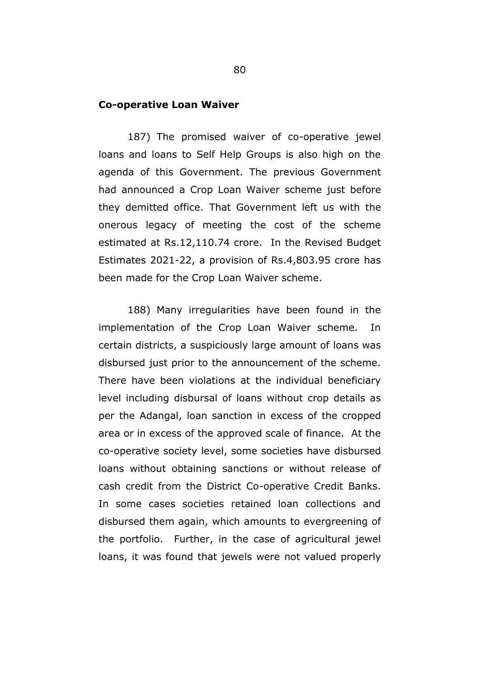### **Co-operative Loan Waiver**

187) The promised waiver of co-operative jewel loans and loans to Self Help Groups is also high on the agenda of this Government. The previous Government had announced a Crop Loan Waiver scheme just before they demitted office. That Government left us with the onerous legacy of meeting the cost of the scheme estimated at Rs.12,110.74 crore. In the Revised Budget Estimates 2021-22, a provision of Rs.4,803.95 crore has been made for the Crop Loan Waiver scheme.

188) Many irregularities have been found in the implementation of the Crop Loan Waiver scheme. In certain districts, a suspiciously large amount of loans was disbursed just prior to the announcement of the scheme. There have been violations at the individual beneficiary level including disbursal of loans without crop details as per the Adangal, loan sanction in excess of the cropped area or in excess of the approved scale of finance. At the co-operative society level, some societies have disbursed loans without obtaining sanctions or without release of cash credit from the District Co-operative Credit Banks. In some cases societies retained loan collections and disbursed them again, which amounts to evergreening of the portfolio. Further, in the case of agricultural jewel loans, it was found that jewels were not valued properly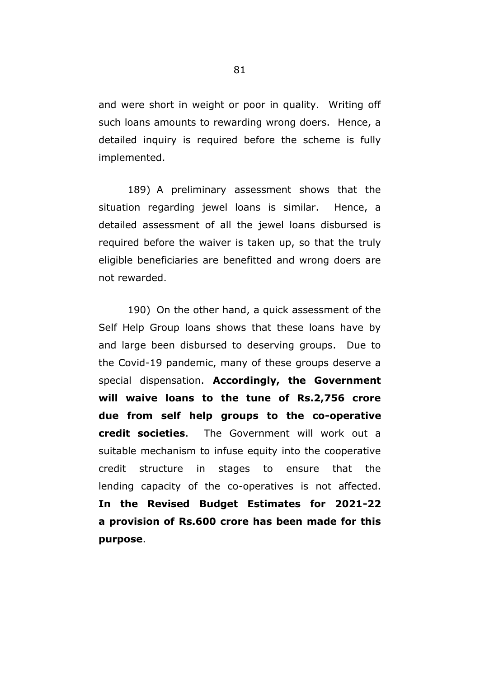and were short in weight or poor in quality. Writing off such loans amounts to rewarding wrong doers. Hence, a detailed inquiry is required before the scheme is fully implemented.

189) A preliminary assessment shows that the situation regarding jewel loans is similar. Hence, a detailed assessment of all the jewel loans disbursed is required before the waiver is taken up, so that the truly eligible beneficiaries are benefitted and wrong doers are not rewarded.

190) On the other hand, a quick assessment of the Self Help Group loans shows that these loans have by and large been disbursed to deserving groups. Due to the Covid-19 pandemic, many of these groups deserve a special dispensation. **Accordingly, the Government will waive loans to the tune of Rs.2,756 crore due from self help groups to the co-operative credit societies**. The Government will work out a suitable mechanism to infuse equity into the cooperative credit structure in stages to ensure that the lending capacity of the co-operatives is not affected. **In the Revised Budget Estimates for 2021-22 a provision of Rs.600 crore has been made for this purpose**.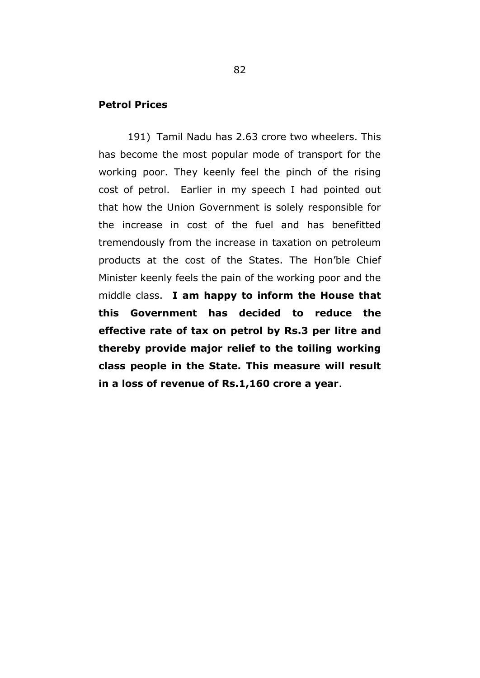## **Petrol Prices**

191) Tamil Nadu has 2.63 crore two wheelers. This has become the most popular mode of transport for the working poor. They keenly feel the pinch of the rising cost of petrol. Earlier in my speech I had pointed out that how the Union Government is solely responsible for the increase in cost of the fuel and has benefitted tremendously from the increase in taxation on petroleum products at the cost of the States. The Hon"ble Chief Minister keenly feels the pain of the working poor and the middle class. **I am happy to inform the House that this Government has decided to reduce the effective rate of tax on petrol by Rs.3 per litre and thereby provide major relief to the toiling working class people in the State. This measure will result in a loss of revenue of Rs.1,160 crore a year**.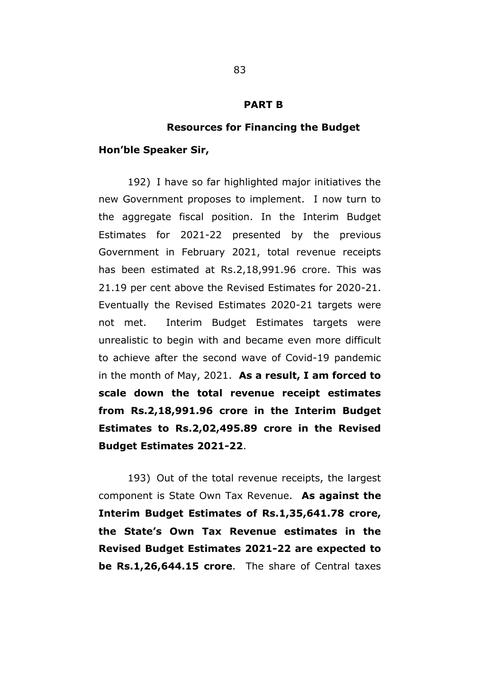#### **PART B**

#### **Resources for Financing the Budget**

#### **Hon"ble Speaker Sir,**

192) I have so far highlighted major initiatives the new Government proposes to implement. I now turn to the aggregate fiscal position. In the Interim Budget Estimates for 2021-22 presented by the previous Government in February 2021, total revenue receipts has been estimated at Rs.2,18,991.96 crore. This was 21.19 per cent above the Revised Estimates for 2020-21. Eventually the Revised Estimates 2020-21 targets were not met. Interim Budget Estimates targets were unrealistic to begin with and became even more difficult to achieve after the second wave of Covid-19 pandemic in the month of May, 2021. **As a result, I am forced to scale down the total revenue receipt estimates from Rs.2,18,991.96 crore in the Interim Budget Estimates to Rs.2,02,495.89 crore in the Revised Budget Estimates 2021-22**.

193) Out of the total revenue receipts, the largest component is State Own Tax Revenue. **As against the Interim Budget Estimates of Rs.1,35,641.78 crore, the State"s Own Tax Revenue estimates in the Revised Budget Estimates 2021-22 are expected to be Rs.1,26,644.15 crore**. The share of Central taxes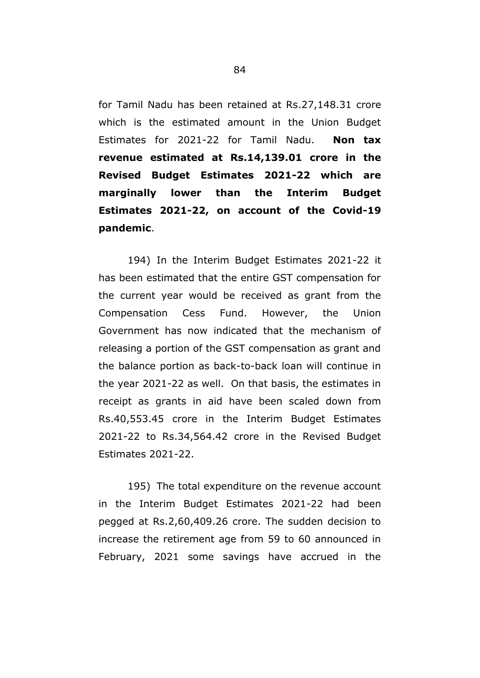for Tamil Nadu has been retained at Rs.27,148.31 crore which is the estimated amount in the Union Budget Estimates for 2021-22 for Tamil Nadu. **Non tax revenue estimated at Rs.14,139.01 crore in the Revised Budget Estimates 2021-22 which are marginally lower than the Interim Budget Estimates 2021-22, on account of the Covid-19 pandemic**.

194) In the Interim Budget Estimates 2021-22 it has been estimated that the entire GST compensation for the current year would be received as grant from the Compensation Cess Fund. However, the Union Government has now indicated that the mechanism of releasing a portion of the GST compensation as grant and the balance portion as back-to-back loan will continue in the year 2021-22 as well. On that basis, the estimates in receipt as grants in aid have been scaled down from Rs.40,553.45 crore in the Interim Budget Estimates 2021-22 to Rs.34,564.42 crore in the Revised Budget Estimates 2021-22.

195) The total expenditure on the revenue account in the Interim Budget Estimates 2021-22 had been pegged at Rs.2,60,409.26 crore. The sudden decision to increase the retirement age from 59 to 60 announced in February, 2021 some savings have accrued in the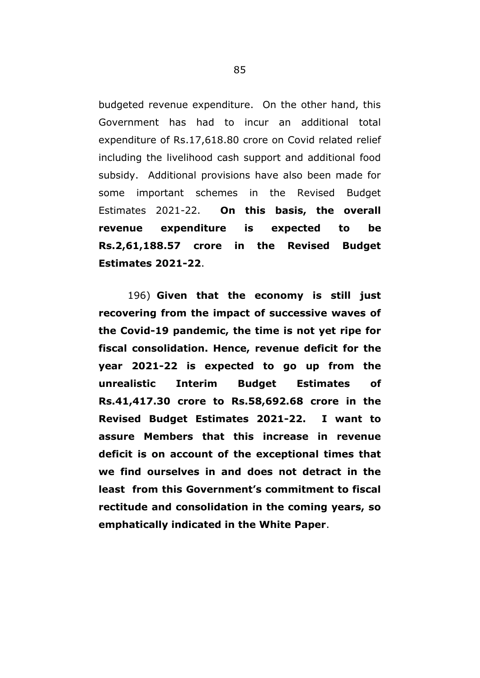budgeted revenue expenditure. On the other hand, this Government has had to incur an additional total expenditure of Rs.17,618.80 crore on Covid related relief including the livelihood cash support and additional food subsidy. Additional provisions have also been made for some important schemes in the Revised Budget Estimates 2021-22. **On this basis, the overall revenue expenditure is expected to be Rs.2,61,188.57 crore in the Revised Budget Estimates 2021-22**.

196) **Given that the economy is still just recovering from the impact of successive waves of the Covid-19 pandemic, the time is not yet ripe for fiscal consolidation. Hence, revenue deficit for the year 2021-22 is expected to go up from the unrealistic Interim Budget Estimates of Rs.41,417.30 crore to Rs.58,692.68 crore in the Revised Budget Estimates 2021-22. I want to assure Members that this increase in revenue deficit is on account of the exceptional times that we find ourselves in and does not detract in the least from this Government"s commitment to fiscal rectitude and consolidation in the coming years, so emphatically indicated in the White Paper**.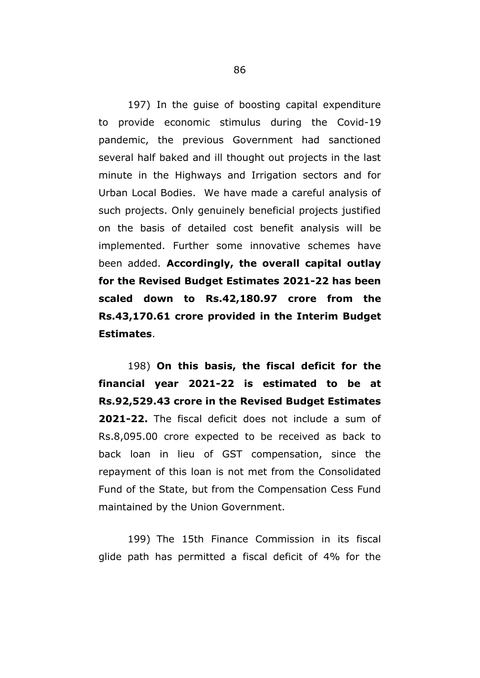197) In the guise of boosting capital expenditure to provide economic stimulus during the Covid-19 pandemic, the previous Government had sanctioned several half baked and ill thought out projects in the last minute in the Highways and Irrigation sectors and for Urban Local Bodies. We have made a careful analysis of such projects. Only genuinely beneficial projects justified on the basis of detailed cost benefit analysis will be implemented. Further some innovative schemes have been added. **Accordingly, the overall capital outlay for the Revised Budget Estimates 2021-22 has been scaled down to Rs.42,180.97 crore from the Rs.43,170.61 crore provided in the Interim Budget Estimates**.

198) **On this basis, the fiscal deficit for the financial year 2021-22 is estimated to be at Rs.92,529.43 crore in the Revised Budget Estimates 2021-22.** The fiscal deficit does not include a sum of Rs.8,095.00 crore expected to be received as back to back loan in lieu of GST compensation, since the repayment of this loan is not met from the Consolidated Fund of the State, but from the Compensation Cess Fund maintained by the Union Government.

199) The 15th Finance Commission in its fiscal glide path has permitted a fiscal deficit of 4% for the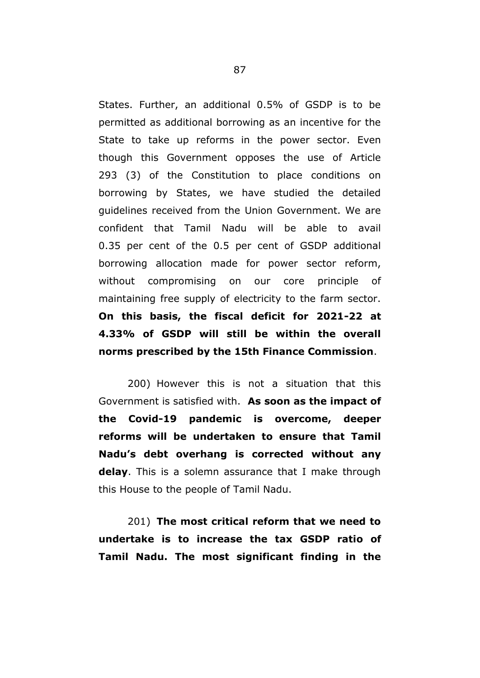States. Further, an additional 0.5% of GSDP is to be permitted as additional borrowing as an incentive for the State to take up reforms in the power sector. Even though this Government opposes the use of Article 293 (3) of the Constitution to place conditions on borrowing by States, we have studied the detailed guidelines received from the Union Government. We are confident that Tamil Nadu will be able to avail 0.35 per cent of the 0.5 per cent of GSDP additional borrowing allocation made for power sector reform, without compromising on our core principle of maintaining free supply of electricity to the farm sector. **On this basis, the fiscal deficit for 2021-22 at 4.33% of GSDP will still be within the overall norms prescribed by the 15th Finance Commission**.

200) However this is not a situation that this Government is satisfied with. **As soon as the impact of the Covid-19 pandemic is overcome, deeper reforms will be undertaken to ensure that Tamil Nadu"s debt overhang is corrected without any delay**. This is a solemn assurance that I make through this House to the people of Tamil Nadu.

201) **The most critical reform that we need to undertake is to increase the tax GSDP ratio of Tamil Nadu. The most significant finding in the**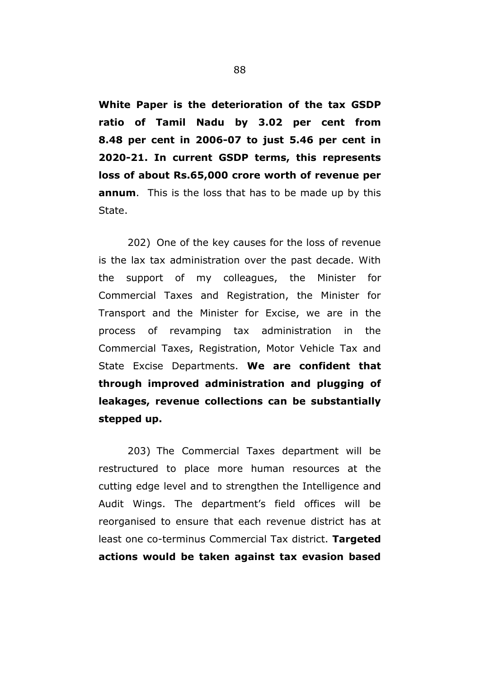**White Paper is the deterioration of the tax GSDP ratio of Tamil Nadu by 3.02 per cent from 8.48 per cent in 2006-07 to just 5.46 per cent in 2020-21. In current GSDP terms, this represents loss of about Rs.65,000 crore worth of revenue per annum**. This is the loss that has to be made up by this State.

202) One of the key causes for the loss of revenue is the lax tax administration over the past decade. With the support of my colleagues, the Minister for Commercial Taxes and Registration, the Minister for Transport and the Minister for Excise, we are in the process of revamping tax administration in the Commercial Taxes, Registration, Motor Vehicle Tax and State Excise Departments. **We are confident that through improved administration and plugging of leakages, revenue collections can be substantially stepped up.**

203) The Commercial Taxes department will be restructured to place more human resources at the cutting edge level and to strengthen the Intelligence and Audit Wings. The department"s field offices will be reorganised to ensure that each revenue district has at least one co-terminus Commercial Tax district. **Targeted actions would be taken against tax evasion based**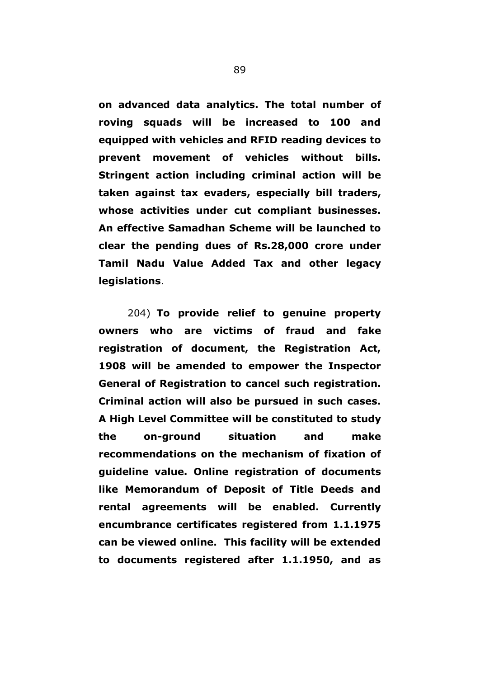**on advanced data analytics. The total number of roving squads will be increased to 100 and equipped with vehicles and RFID reading devices to prevent movement of vehicles without bills. Stringent action including criminal action will be taken against tax evaders, especially bill traders, whose activities under cut compliant businesses. An effective Samadhan Scheme will be launched to clear the pending dues of Rs.28,000 crore under Tamil Nadu Value Added Tax and other legacy legislations**.

204) **To provide relief to genuine property owners who are victims of fraud and fake registration of document, the Registration Act, 1908 will be amended to empower the Inspector General of Registration to cancel such registration. Criminal action will also be pursued in such cases. A High Level Committee will be constituted to study the on-ground situation and make recommendations on the mechanism of fixation of guideline value. Online registration of documents like Memorandum of Deposit of Title Deeds and rental agreements will be enabled. Currently encumbrance certificates registered from 1.1.1975 can be viewed online. This facility will be extended to documents registered after 1.1.1950, and as**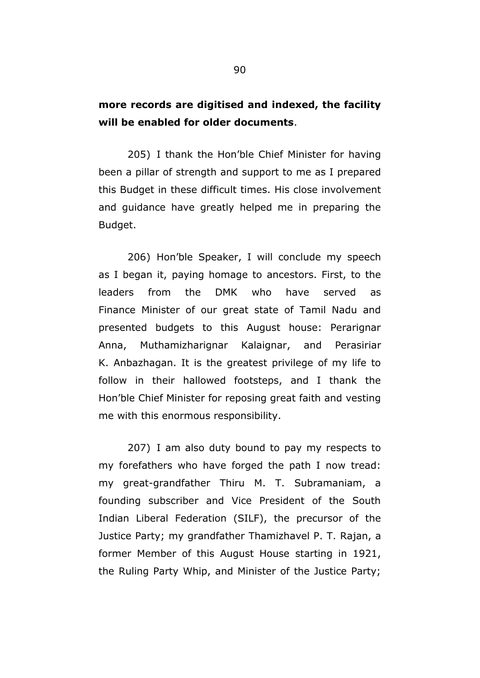# **more records are digitised and indexed, the facility will be enabled for older documents**.

205) I thank the Hon"ble Chief Minister for having been a pillar of strength and support to me as I prepared this Budget in these difficult times. His close involvement and guidance have greatly helped me in preparing the Budget.

206) Hon"ble Speaker, I will conclude my speech as I began it, paying homage to ancestors. First, to the leaders from the DMK who have served as Finance Minister of our great state of Tamil Nadu and presented budgets to this August house: Perarignar Anna, Muthamizharignar Kalaignar, and Perasiriar K. Anbazhagan. It is the greatest privilege of my life to follow in their hallowed footsteps, and I thank the Hon"ble Chief Minister for reposing great faith and vesting me with this enormous responsibility.

207) I am also duty bound to pay my respects to my forefathers who have forged the path I now tread: my great-grandfather Thiru M. T. Subramaniam, a founding subscriber and Vice President of the South Indian Liberal Federation (SILF), the precursor of the Justice Party; my grandfather Thamizhavel P. T. Rajan, a former Member of this August House starting in 1921, the Ruling Party Whip, and Minister of the Justice Party;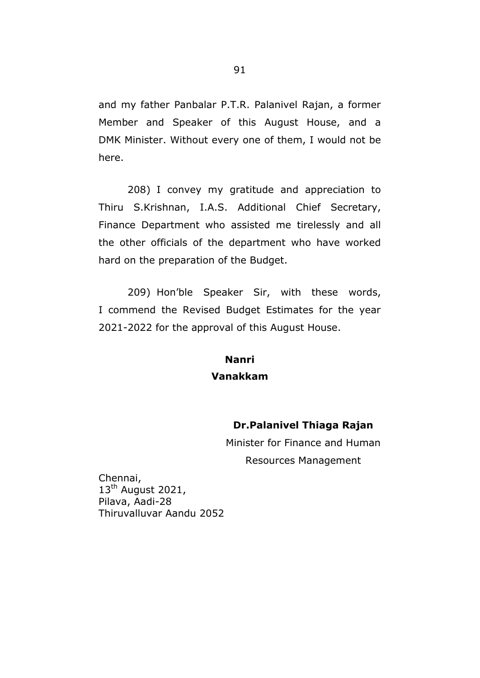and my father Panbalar P.T.R. Palanivel Rajan, a former Member and Speaker of this August House, and a DMK Minister. Without every one of them, I would not be here.

208) I convey my gratitude and appreciation to Thiru S.Krishnan, I.A.S. Additional Chief Secretary, Finance Department who assisted me tirelessly and all the other officials of the department who have worked hard on the preparation of the Budget.

209) Hon"ble Speaker Sir, with these words, I commend the Revised Budget Estimates for the year 2021-2022 for the approval of this August House.

# **Nanri Vanakkam**

# **Dr.Palanivel Thiaga Rajan**

Minister for Finance and Human Resources Management

Chennai, 13<sup>th</sup> August 2021, Pilava, Aadi-28 Thiruvalluvar Aandu 2052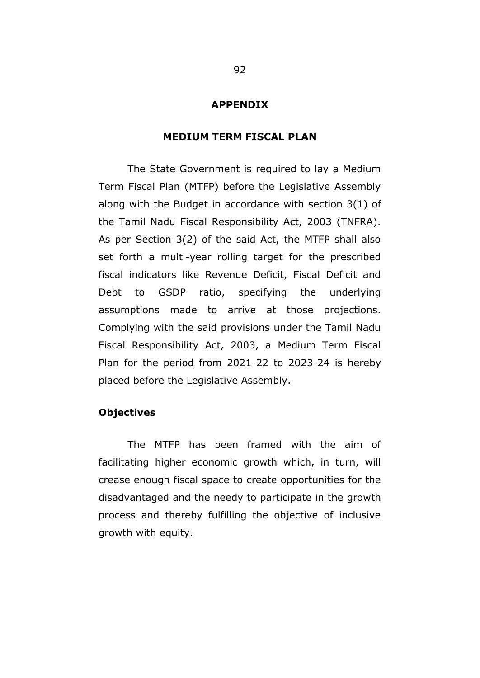### **APPENDIX**

### **MEDIUM TERM FISCAL PLAN**

The State Government is required to lay a Medium Term Fiscal Plan (MTFP) before the Legislative Assembly along with the Budget in accordance with section 3(1) of the Tamil Nadu Fiscal Responsibility Act, 2003 (TNFRA). As per Section 3(2) of the said Act, the MTFP shall also set forth a multi-year rolling target for the prescribed fiscal indicators like Revenue Deficit, Fiscal Deficit and Debt to GSDP ratio, specifying the underlying assumptions made to arrive at those projections. Complying with the said provisions under the Tamil Nadu Fiscal Responsibility Act, 2003, a Medium Term Fiscal Plan for the period from 2021-22 to 2023-24 is hereby placed before the Legislative Assembly.

# **Objectives**

The MTFP has been framed with the aim of facilitating higher economic growth which, in turn, will crease enough fiscal space to create opportunities for the disadvantaged and the needy to participate in the growth process and thereby fulfilling the objective of inclusive growth with equity.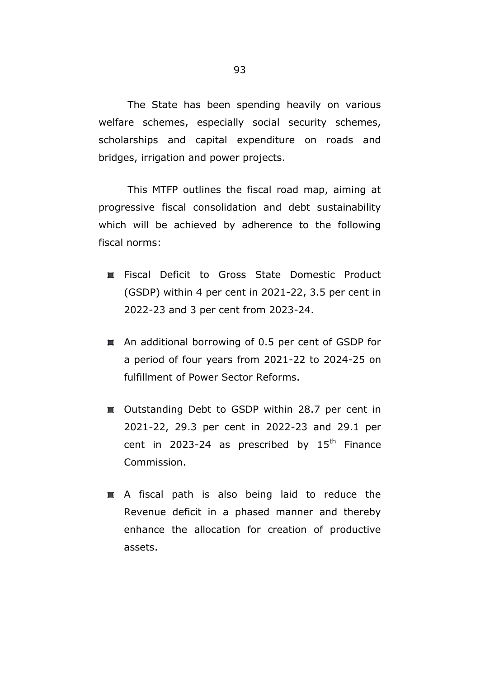The State has been spending heavily on various welfare schemes, especially social security schemes, scholarships and capital expenditure on roads and bridges, irrigation and power projects.

This MTFP outlines the fiscal road map, aiming at progressive fiscal consolidation and debt sustainability which will be achieved by adherence to the following fiscal norms:

- Fiscal Deficit to Gross State Domestic Product (GSDP) within 4 per cent in 2021-22, 3.5 per cent in 2022-23 and 3 per cent from 2023-24.
- An additional borrowing of 0.5 per cent of GSDP for a period of four years from 2021-22 to 2024-25 on fulfillment of Power Sector Reforms.
- Outstanding Debt to GSDP within 28.7 per cent in 2021-22, 29.3 per cent in 2022-23 and 29.1 per cent in 2023-24 as prescribed by  $15<sup>th</sup>$  Finance Commission.
- A fiscal path is also being laid to reduce the Revenue deficit in a phased manner and thereby enhance the allocation for creation of productive assets.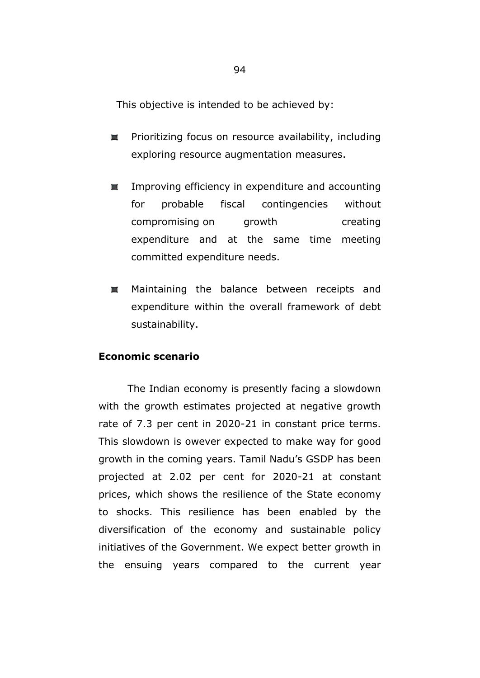This objective is intended to be achieved by:

- Prioritizing focus on resource availability, including 605 exploring resource augmentation measures.
- Improving efficiency in expenditure and accounting 202 for probable fiscal contingencies without compromising on growth creating expenditure and at the same time meeting committed expenditure needs.
- **AB** Maintaining the balance between receipts and expenditure within the overall framework of debt sustainability.

## **Economic scenario**

The Indian economy is presently facing a slowdown with the growth estimates projected at negative growth rate of 7.3 per cent in 2020-21 in constant price terms. This slowdown is owever expected to make way for good growth in the coming years. Tamil Nadu"s GSDP has been projected at 2.02 per cent for 2020-21 at constant prices, which shows the resilience of the State economy to shocks. This resilience has been enabled by the diversification of the economy and sustainable policy initiatives of the Government. We expect better growth in the ensuing years compared to the current year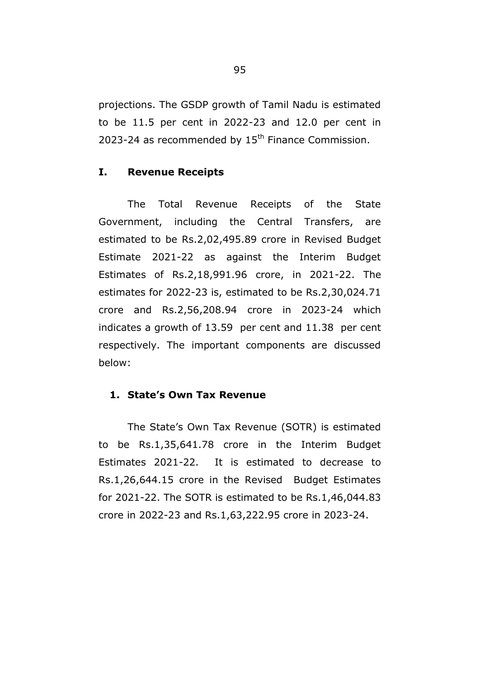projections. The GSDP growth of Tamil Nadu is estimated to be 11.5 per cent in 2022-23 and 12.0 per cent in 2023-24 as recommended by  $15<sup>th</sup>$  Finance Commission.

## **I. Revenue Receipts**

The Total Revenue Receipts of the State Government, including the Central Transfers, are estimated to be Rs.2,02,495.89 crore in Revised Budget Estimate 2021-22 as against the Interim Budget Estimates of Rs.2,18,991.96 crore, in 2021-22. The estimates for 2022-23 is, estimated to be Rs.2,30,024.71 crore and Rs.2,56,208.94 crore in 2023-24 which indicates a growth of 13.59 per cent and 11.38 per cent respectively. The important components are discussed below:

## **1. State"s Own Tax Revenue**

The State's Own Tax Revenue (SOTR) is estimated to be Rs.1,35,641.78 crore in the Interim Budget Estimates 2021-22. It is estimated to decrease to Rs.1,26,644.15 crore in the Revised Budget Estimates for 2021-22. The SOTR is estimated to be Rs.1,46,044.83 crore in 2022-23 and Rs.1,63,222.95 crore in 2023-24.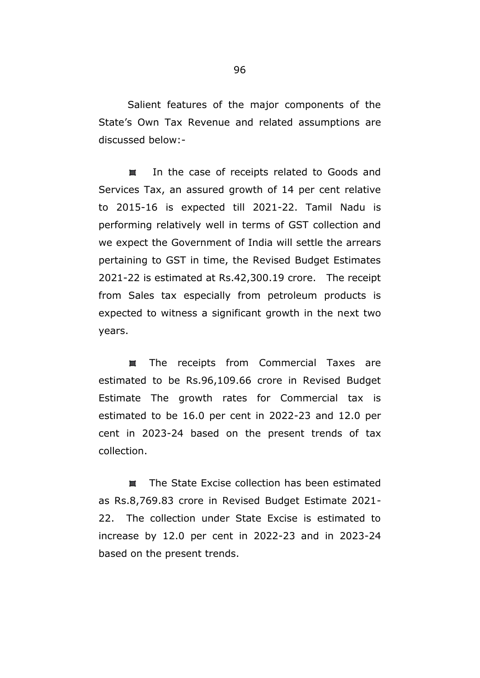Salient features of the major components of the State's Own Tax Revenue and related assumptions are discussed below:-

98 In the case of receipts related to Goods and Services Tax, an assured growth of 14 per cent relative to 2015-16 is expected till 2021-22. Tamil Nadu is performing relatively well in terms of GST collection and we expect the Government of India will settle the arrears pertaining to GST in time, the Revised Budget Estimates 2021-22 is estimated at Rs.42,300.19 crore. The receipt from Sales tax especially from petroleum products is expected to witness a significant growth in the next two years.

The receipts from Commercial Taxes are 83 estimated to be Rs.96,109.66 crore in Revised Budget Estimate The growth rates for Commercial tax is estimated to be 16.0 per cent in 2022-23 and 12.0 per cent in 2023-24 based on the present trends of tax collection.

The State Excise collection has been estimated **AZE** as Rs.8,769.83 crore in Revised Budget Estimate 2021- 22. The collection under State Excise is estimated to increase by 12.0 per cent in 2022-23 and in 2023-24 based on the present trends.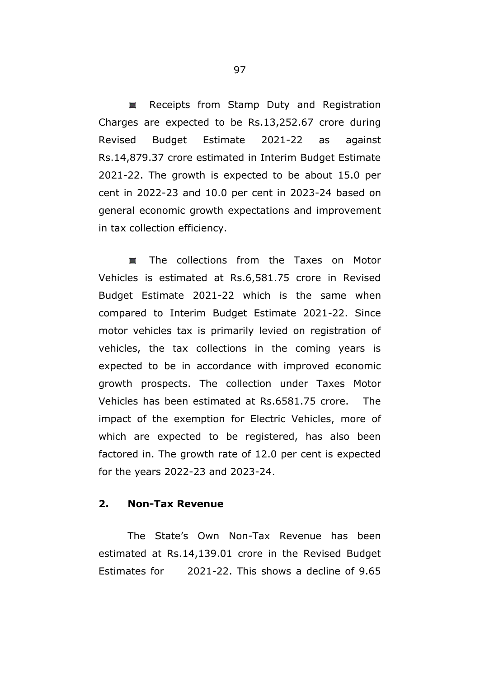Receipts from Stamp Duty and Registration 498 Charges are expected to be Rs.13,252.67 crore during Revised Budget Estimate 2021-22 as against Rs.14,879.37 crore estimated in Interim Budget Estimate 2021-22. The growth is expected to be about 15.0 per cent in 2022-23 and 10.0 per cent in 2023-24 based on general economic growth expectations and improvement in tax collection efficiency.

The collections from the Taxes on Motor 803 Vehicles is estimated at Rs.6,581.75 crore in Revised Budget Estimate 2021-22 which is the same when compared to Interim Budget Estimate 2021-22. Since motor vehicles tax is primarily levied on registration of vehicles, the tax collections in the coming years is expected to be in accordance with improved economic growth prospects. The collection under Taxes Motor Vehicles has been estimated at Rs.6581.75 crore. The impact of the exemption for Electric Vehicles, more of which are expected to be registered, has also been factored in. The growth rate of 12.0 per cent is expected for the years 2022-23 and 2023-24.

## **2. Non-Tax Revenue**

The State"s Own Non-Tax Revenue has been estimated at Rs.14,139.01 crore in the Revised Budget Estimates for 2021-22. This shows a decline of 9.65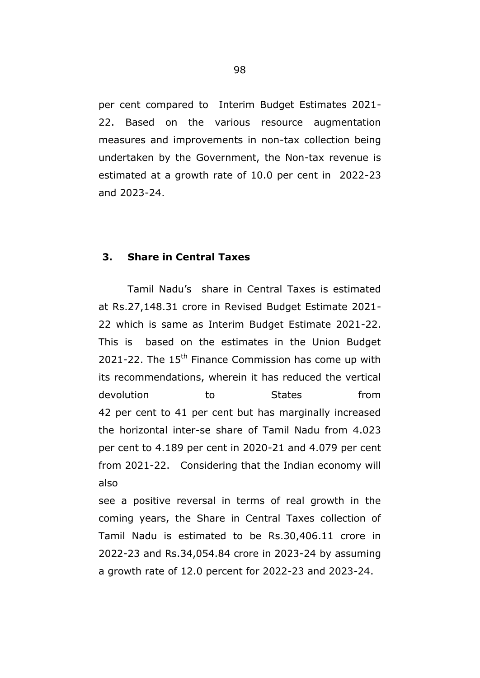per cent compared to Interim Budget Estimates 2021- 22. Based on the various resource augmentation measures and improvements in non-tax collection being undertaken by the Government, the Non-tax revenue is estimated at a growth rate of 10.0 per cent in 2022-23 and 2023-24.

# **3. Share in Central Taxes**

Tamil Nadu"s share in Central Taxes is estimated at Rs.27,148.31 crore in Revised Budget Estimate 2021- 22 which is same as Interim Budget Estimate 2021-22. This is based on the estimates in the Union Budget 2021-22. The  $15<sup>th</sup>$  Finance Commission has come up with its recommendations, wherein it has reduced the vertical devolution to States from 42 per cent to 41 per cent but has marginally increased the horizontal inter-se share of Tamil Nadu from 4.023 per cent to 4.189 per cent in 2020-21 and 4.079 per cent from 2021-22. Considering that the Indian economy will also

see a positive reversal in terms of real growth in the coming years, the Share in Central Taxes collection of Tamil Nadu is estimated to be Rs.30,406.11 crore in 2022-23 and Rs.34,054.84 crore in 2023-24 by assuming a growth rate of 12.0 percent for 2022-23 and 2023-24.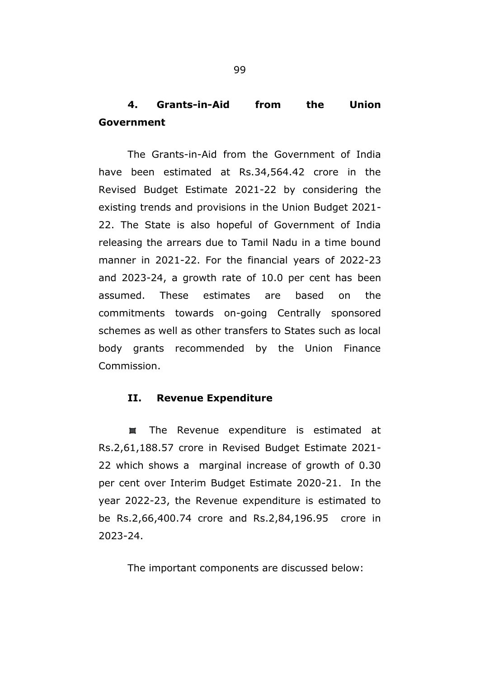# **4. Grants-in-Aid from the Union Government**

The Grants-in-Aid from the Government of India have been estimated at Rs.34,564.42 crore in the Revised Budget Estimate 2021-22 by considering the existing trends and provisions in the Union Budget 2021- 22. The State is also hopeful of Government of India releasing the arrears due to Tamil Nadu in a time bound manner in 2021-22. For the financial years of 2022-23 and 2023-24, a growth rate of 10.0 per cent has been assumed. These estimates are based on the commitments towards on-going Centrally sponsored schemes as well as other transfers to States such as local body grants recommended by the Union Finance Commission.

## **II. Revenue Expenditure**

The Revenue expenditure is estimated at 498 Rs.2,61,188.57 crore in Revised Budget Estimate 2021- 22 which shows a marginal increase of growth of 0.30 per cent over Interim Budget Estimate 2020-21. In the year 2022-23, the Revenue expenditure is estimated to be Rs.2,66,400.74 crore and Rs.2,84,196.95 crore in 2023-24.

The important components are discussed below: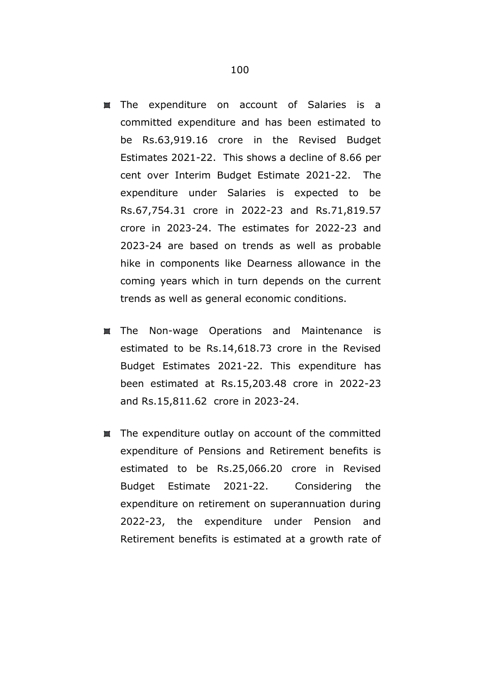- **The expenditure on account of Salaries is a** committed expenditure and has been estimated to be Rs.63,919.16 crore in the Revised Budget Estimates 2021-22. This shows a decline of 8.66 per cent over Interim Budget Estimate 2021-22. The expenditure under Salaries is expected to be Rs.67,754.31 crore in 2022-23 and Rs.71,819.57 crore in 2023-24. The estimates for 2022-23 and 2023-24 are based on trends as well as probable hike in components like Dearness allowance in the coming years which in turn depends on the current trends as well as general economic conditions.
- The Non-wage Operations and Maintenance is 羉 estimated to be Rs.14,618.73 crore in the Revised Budget Estimates 2021-22. This expenditure has been estimated at Rs.15,203.48 crore in 2022-23 and Rs.15,811.62 crore in 2023-24.
- The expenditure outlay on account of the committed expenditure of Pensions and Retirement benefits is estimated to be Rs.25,066.20 crore in Revised Budget Estimate 2021-22. Considering the expenditure on retirement on superannuation during 2022-23, the expenditure under Pension and Retirement benefits is estimated at a growth rate of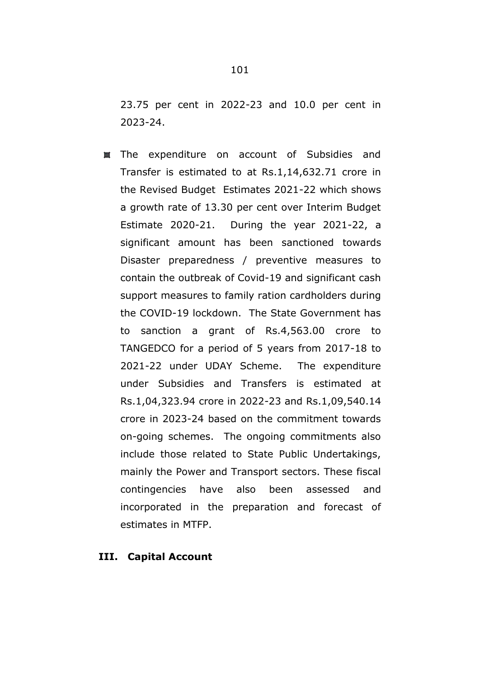23.75 per cent in 2022-23 and 10.0 per cent in 2023-24.

The expenditure on account of Subsidies and Transfer is estimated to at Rs.1,14,632.71 crore in the Revised Budget Estimates 2021-22 which shows a growth rate of 13.30 per cent over Interim Budget Estimate 2020-21. During the year 2021-22, a significant amount has been sanctioned towards Disaster preparedness / preventive measures to contain the outbreak of Covid-19 and significant cash support measures to family ration cardholders during the COVID-19 lockdown. The State Government has to sanction a grant of Rs.4,563.00 crore to TANGEDCO for a period of 5 years from 2017-18 to 2021-22 under UDAY Scheme. The expenditure under Subsidies and Transfers is estimated at Rs.1,04,323.94 crore in 2022-23 and Rs.1,09,540.14 crore in 2023-24 based on the commitment towards on-going schemes. The ongoing commitments also include those related to State Public Undertakings, mainly the Power and Transport sectors. These fiscal contingencies have also been assessed and incorporated in the preparation and forecast of estimates in MTFP.

### **III. Capital Account**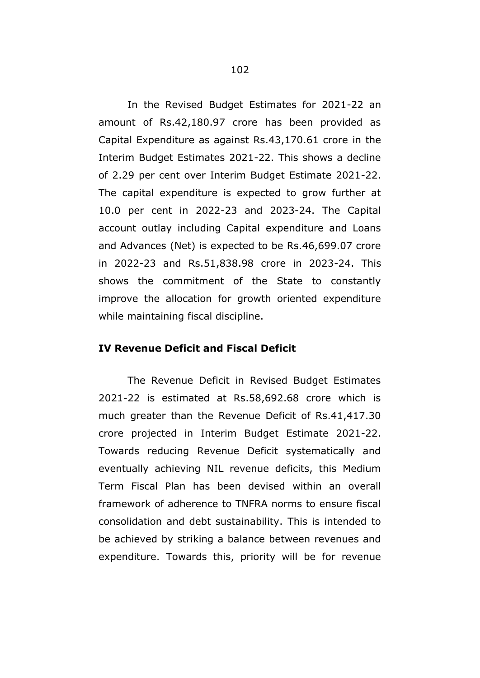In the Revised Budget Estimates for 2021-22 an amount of Rs.42,180.97 crore has been provided as Capital Expenditure as against Rs.43,170.61 crore in the Interim Budget Estimates 2021-22. This shows a decline of 2.29 per cent over Interim Budget Estimate 2021-22. The capital expenditure is expected to grow further at 10.0 per cent in 2022-23 and 2023-24. The Capital account outlay including Capital expenditure and Loans and Advances (Net) is expected to be Rs.46,699.07 crore in 2022-23 and Rs.51,838.98 crore in 2023-24. This shows the commitment of the State to constantly improve the allocation for growth oriented expenditure while maintaining fiscal discipline.

# **IV Revenue Deficit and Fiscal Deficit**

The Revenue Deficit in Revised Budget Estimates 2021-22 is estimated at Rs.58,692.68 crore which is much greater than the Revenue Deficit of Rs.41,417.30 crore projected in Interim Budget Estimate 2021-22. Towards reducing Revenue Deficit systematically and eventually achieving NIL revenue deficits, this Medium Term Fiscal Plan has been devised within an overall framework of adherence to TNFRA norms to ensure fiscal consolidation and debt sustainability. This is intended to be achieved by striking a balance between revenues and expenditure. Towards this, priority will be for revenue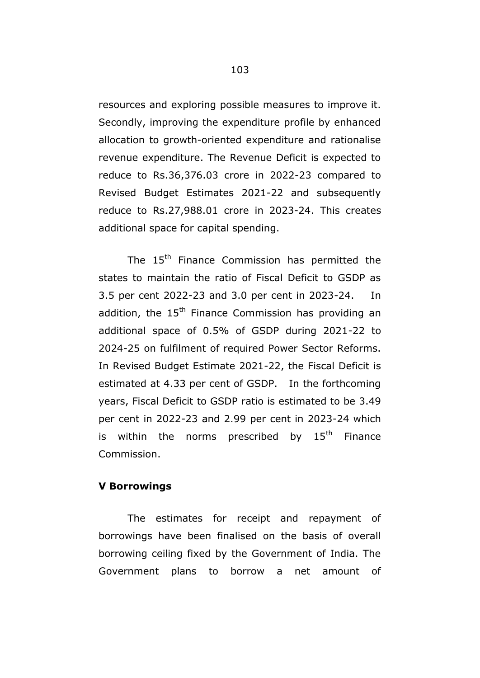resources and exploring possible measures to improve it. Secondly, improving the expenditure profile by enhanced allocation to growth-oriented expenditure and rationalise revenue expenditure. The Revenue Deficit is expected to reduce to Rs.36,376.03 crore in 2022-23 compared to Revised Budget Estimates 2021-22 and subsequently reduce to Rs.27,988.01 crore in 2023-24. This creates additional space for capital spending.

The 15<sup>th</sup> Finance Commission has permitted the states to maintain the ratio of Fiscal Deficit to GSDP as 3.5 per cent 2022-23 and 3.0 per cent in 2023-24. In addition, the  $15<sup>th</sup>$  Finance Commission has providing an additional space of 0.5% of GSDP during 2021-22 to 2024-25 on fulfilment of required Power Sector Reforms. In Revised Budget Estimate 2021-22, the Fiscal Deficit is estimated at 4.33 per cent of GSDP. In the forthcoming years, Fiscal Deficit to GSDP ratio is estimated to be 3.49 per cent in 2022-23 and 2.99 per cent in 2023-24 which is within the norms prescribed by  $15<sup>th</sup>$  Finance Commission.

## **V Borrowings**

The estimates for receipt and repayment of borrowings have been finalised on the basis of overall borrowing ceiling fixed by the Government of India. The Government plans to borrow a net amount of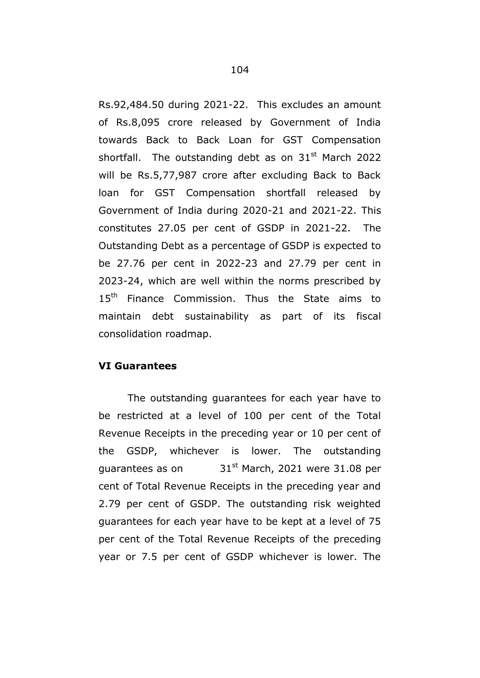Rs.92,484.50 during 2021-22. This excludes an amount of Rs.8,095 crore released by Government of India towards Back to Back Loan for GST Compensation shortfall. The outstanding debt as on  $31<sup>st</sup>$  March 2022 will be Rs.5,77,987 crore after excluding Back to Back loan for GST Compensation shortfall released by Government of India during 2020-21 and 2021-22. This constitutes 27.05 per cent of GSDP in 2021-22. The Outstanding Debt as a percentage of GSDP is expected to be 27.76 per cent in 2022-23 and 27.79 per cent in 2023-24, which are well within the norms prescribed by 15<sup>th</sup> Finance Commission. Thus the State aims to maintain debt sustainability as part of its fiscal consolidation roadmap.

# **VI Guarantees**

The outstanding guarantees for each year have to be restricted at a level of 100 per cent of the Total Revenue Receipts in the preceding year or 10 per cent of the GSDP, whichever is lower. The outstanding guarantees as on  $31^{st}$  March, 2021 were 31.08 per cent of Total Revenue Receipts in the preceding year and 2.79 per cent of GSDP. The outstanding risk weighted guarantees for each year have to be kept at a level of 75 per cent of the Total Revenue Receipts of the preceding year or 7.5 per cent of GSDP whichever is lower. The